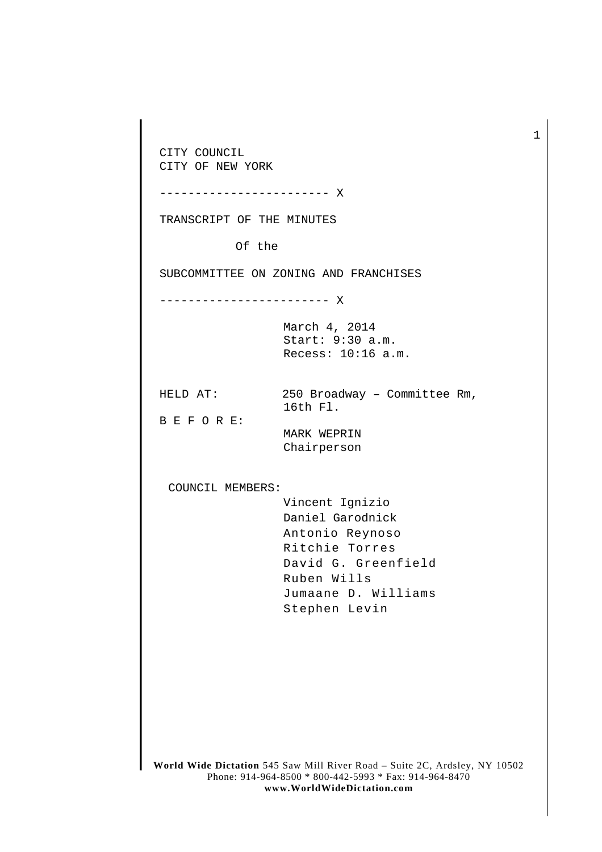CITY COUNCIL CITY OF NEW YORK ------------------------ X TRANSCRIPT OF THE MINUTES Of the SUBCOMMITTEE ON ZONING AND FRANCHISES ------------------------ X March 4, 2014 Start: 9:30 a.m. Recess: 10:16 a.m. HELD AT: 250 Broadway – Committee Rm, 16th Fl. B E F O R E: MARK WEPRIN Chairperson COUNCIL MEMBERS: Vincent Ignizio Daniel Garodnick Antonio Reynoso Ritchie Torres David G. Greenfield Ruben Wills Jumaane D. Williams Stephen Levin

1

**World Wide Dictation** 545 Saw Mill River Road – Suite 2C, Ardsley, NY 10502 Phone: 914-964-8500 \* 800-442-5993 \* Fax: 914-964-8470 **www.WorldWideDictation.com**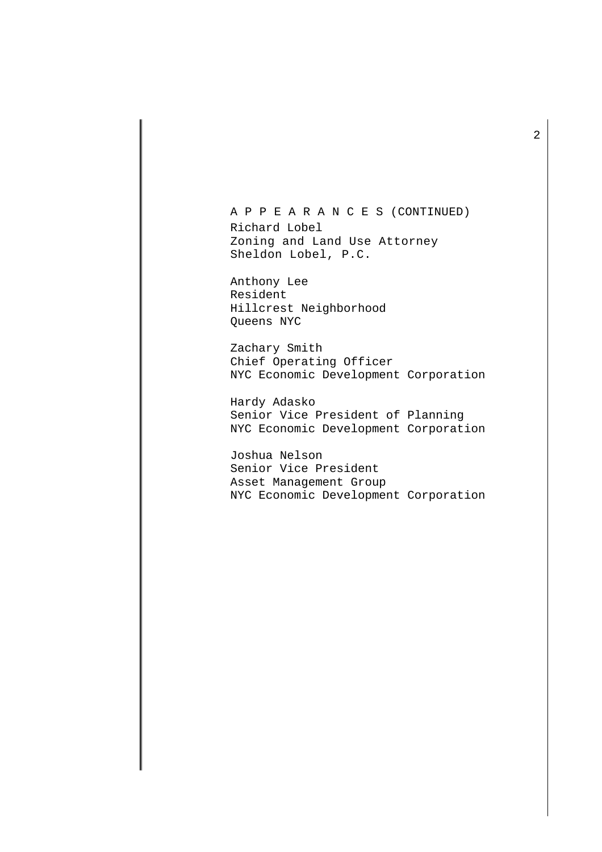A P P E A R A N C E S (CONTINUED) Richard Lobel Zoning and Land Use Attorney Sheldon Lobel, P.C.

Anthony Lee Resident Hillcrest Neighborhood Queens NYC

Zachary Smith Chief Operating Officer NYC Economic Development Corporation

Hardy Adasko Senior Vice President of Planning NYC Economic Development Corporation

Joshua Nelson Senior Vice President Asset Management Group NYC Economic Development Corporation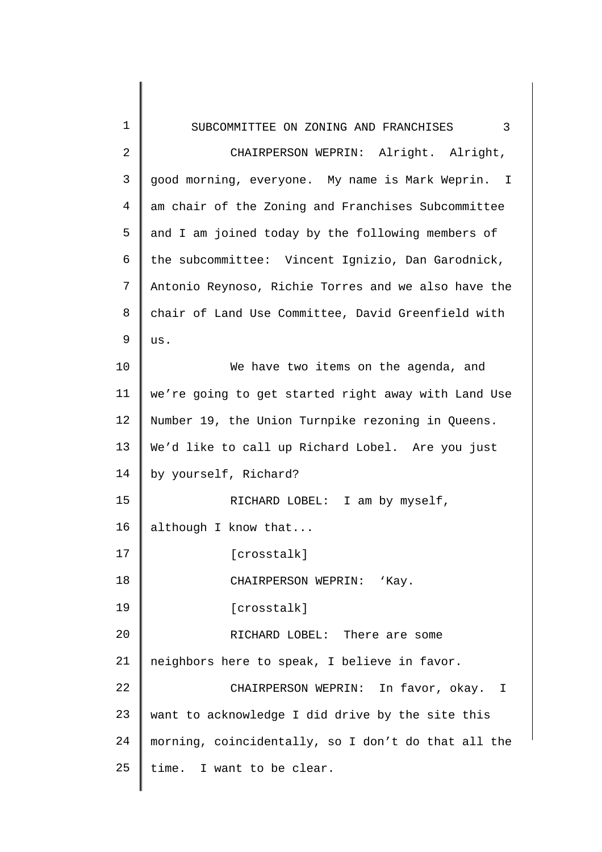| 1           | $\mathbf{3}$<br>SUBCOMMITTEE ON ZONING AND FRANCHISES |
|-------------|-------------------------------------------------------|
| $\sqrt{2}$  | CHAIRPERSON WEPRIN: Alright. Alright,                 |
| 3           | good morning, everyone. My name is Mark Weprin. I     |
| 4           | am chair of the Zoning and Franchises Subcommittee    |
| 5           | and I am joined today by the following members of     |
| 6           | the subcommittee: Vincent Ignizio, Dan Garodnick,     |
| 7           | Antonio Reynoso, Richie Torres and we also have the   |
| 8           | chair of Land Use Committee, David Greenfield with    |
| $\mathsf 9$ | us.                                                   |
| 10          | We have two items on the agenda, and                  |
| 11          | we're going to get started right away with Land Use   |
| 12          | Number 19, the Union Turnpike rezoning in Queens.     |
| 13          | We'd like to call up Richard Lobel. Are you just      |
| 14          | by yourself, Richard?                                 |
| 15          | RICHARD LOBEL: I am by myself,                        |
| 16          | although I know that                                  |
| 17          | [crosstalk]                                           |
| 18          | CHAIRPERSON WEPRIN: 'Kay.                             |
| 19          | [crosstalk]                                           |
| 20          | RICHARD LOBEL: There are some                         |
| 21          | neighbors here to speak, I believe in favor.          |
| 22          | CHAIRPERSON WEPRIN: In favor, okay. I                 |
| 23          | want to acknowledge I did drive by the site this      |
| 24          | morning, coincidentally, so I don't do that all the   |
| 25          | time. I want to be clear.                             |
|             |                                                       |

 $\mathbb{I}$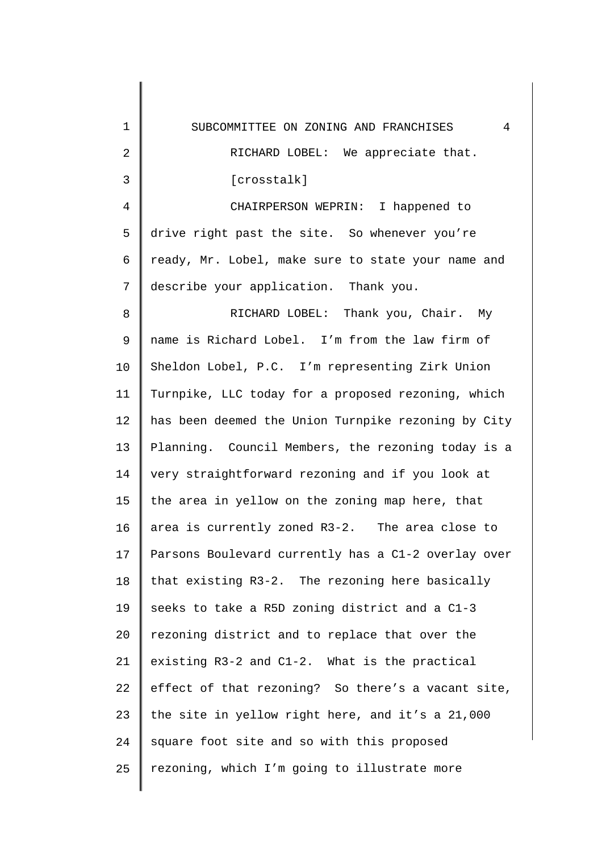1

2

3

RICHARD LOBEL: We appreciate that. [crosstalk]

4 5 6 7 CHAIRPERSON WEPRIN: I happened to drive right past the site. So whenever you're ready, Mr. Lobel, make sure to state your name and describe your application. Thank you.

8 9 10 11 12 13 14 15 16 17 18 19 20 21 22 23 24 25 RICHARD LOBEL: Thank you, Chair. My name is Richard Lobel. I'm from the law firm of Sheldon Lobel, P.C. I'm representing Zirk Union Turnpike, LLC today for a proposed rezoning, which has been deemed the Union Turnpike rezoning by City Planning. Council Members, the rezoning today is a very straightforward rezoning and if you look at the area in yellow on the zoning map here, that area is currently zoned R3-2. The area close to Parsons Boulevard currently has a C1-2 overlay over that existing R3-2. The rezoning here basically seeks to take a R5D zoning district and a C1-3 rezoning district and to replace that over the existing R3-2 and C1-2. What is the practical effect of that rezoning? So there's a vacant site, the site in yellow right here, and it's a 21,000 square foot site and so with this proposed rezoning, which I'm going to illustrate more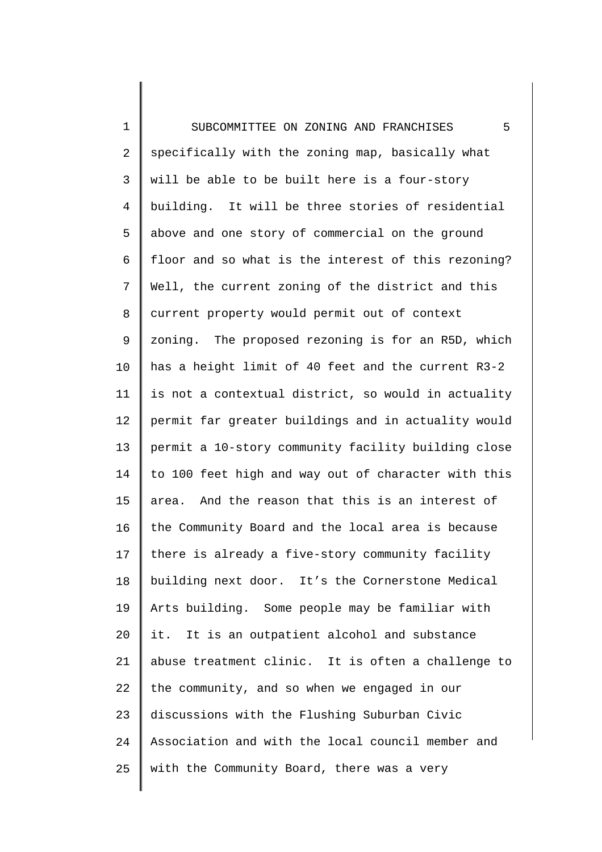1 2 3 4 5 6 7 8 9 10 11 12 13 14 15 16 17 18 19 20 21 22 23 24 25 SUBCOMMITTEE ON ZONING AND FRANCHISES 5 specifically with the zoning map, basically what will be able to be built here is a four-story building. It will be three stories of residential above and one story of commercial on the ground floor and so what is the interest of this rezoning? Well, the current zoning of the district and this current property would permit out of context zoning. The proposed rezoning is for an R5D, which has a height limit of 40 feet and the current R3-2 is not a contextual district, so would in actuality permit far greater buildings and in actuality would permit a 10-story community facility building close to 100 feet high and way out of character with this area. And the reason that this is an interest of the Community Board and the local area is because there is already a five-story community facility building next door. It's the Cornerstone Medical Arts building. Some people may be familiar with it. It is an outpatient alcohol and substance abuse treatment clinic. It is often a challenge to the community, and so when we engaged in our discussions with the Flushing Suburban Civic Association and with the local council member and with the Community Board, there was a very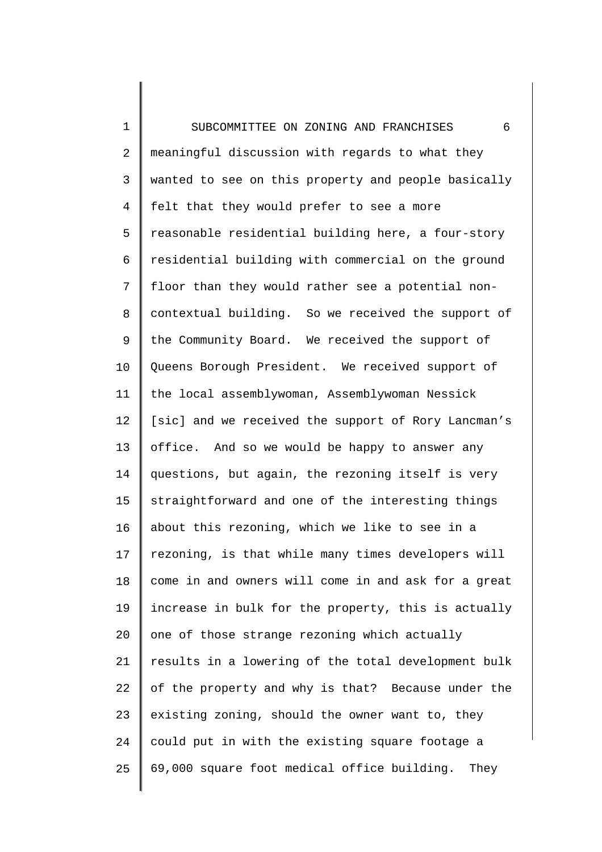1 2 3 4 5 6 7 8 9 10 11 12 13 14 15 16 17 18 19 20 21 22 23 24 25 SUBCOMMITTEE ON ZONING AND FRANCHISES 6 meaningful discussion with regards to what they wanted to see on this property and people basically felt that they would prefer to see a more reasonable residential building here, a four-story residential building with commercial on the ground floor than they would rather see a potential noncontextual building. So we received the support of the Community Board. We received the support of Queens Borough President. We received support of the local assemblywoman, Assemblywoman Nessick [sic] and we received the support of Rory Lancman's office. And so we would be happy to answer any questions, but again, the rezoning itself is very straightforward and one of the interesting things about this rezoning, which we like to see in a rezoning, is that while many times developers will come in and owners will come in and ask for a great increase in bulk for the property, this is actually one of those strange rezoning which actually results in a lowering of the total development bulk of the property and why is that? Because under the existing zoning, should the owner want to, they could put in with the existing square footage a 69,000 square foot medical office building. They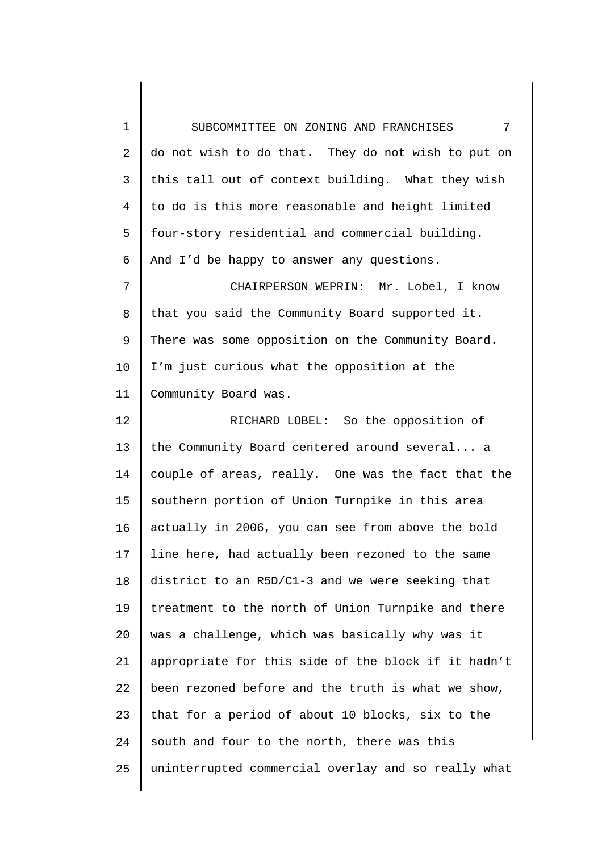| $\mathbf 1$    | 7<br>SUBCOMMITTEE ON ZONING AND FRANCHISES          |
|----------------|-----------------------------------------------------|
| 2              | do not wish to do that. They do not wish to put on  |
| 3              | this tall out of context building. What they wish   |
| $\overline{4}$ | to do is this more reasonable and height limited    |
| 5              | four-story residential and commercial building.     |
| 6              | And I'd be happy to answer any questions.           |
| 7              | CHAIRPERSON WEPRIN: Mr. Lobel, I know               |
| 8              | that you said the Community Board supported it.     |
| 9              | There was some opposition on the Community Board.   |
| 10             | I'm just curious what the opposition at the         |
| 11             | Community Board was.                                |
| 12             | RICHARD LOBEL: So the opposition of                 |
| 13             | the Community Board centered around several a       |
| 14             | couple of areas, really. One was the fact that the  |
| 15             | southern portion of Union Turnpike in this area     |
| 16             | actually in 2006, you can see from above the bold   |
| 17             | line here, had actually been rezoned to the same    |
| 18             | district to an R5D/C1-3 and we were seeking that    |
| 19             | treatment to the north of Union Turnpike and there  |
| 20             | was a challenge, which was basically why was it     |
| 21             | appropriate for this side of the block if it hadn't |
| 22             | been rezoned before and the truth is what we show,  |
| 23             | that for a period of about 10 blocks, six to the    |
| 24             | south and four to the north, there was this         |
| 25             | uninterrupted commercial overlay and so really what |
|                |                                                     |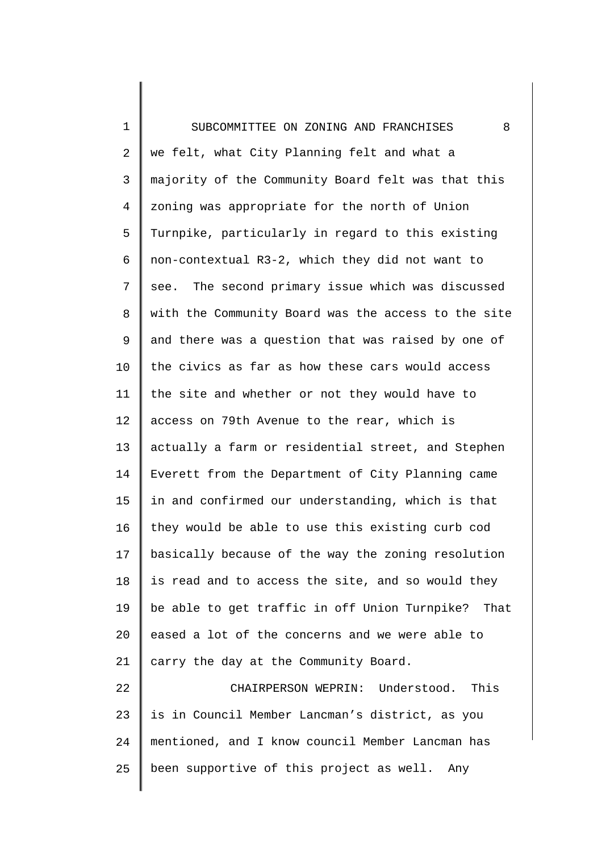1 2 3 4 5 6 7 8 9 10 11 12 13 14 15 16 17 18 19 20 21 22 23 24 SUBCOMMITTEE ON ZONING AND FRANCHISES 8 we felt, what City Planning felt and what a majority of the Community Board felt was that this zoning was appropriate for the north of Union Turnpike, particularly in regard to this existing non-contextual R3-2, which they did not want to see. The second primary issue which was discussed with the Community Board was the access to the site and there was a question that was raised by one of the civics as far as how these cars would access the site and whether or not they would have to access on 79th Avenue to the rear, which is actually a farm or residential street, and Stephen Everett from the Department of City Planning came in and confirmed our understanding, which is that they would be able to use this existing curb cod basically because of the way the zoning resolution is read and to access the site, and so would they be able to get traffic in off Union Turnpike? That eased a lot of the concerns and we were able to carry the day at the Community Board. CHAIRPERSON WEPRIN: Understood. This is in Council Member Lancman's district, as you mentioned, and I know council Member Lancman has

been supportive of this project as well. Any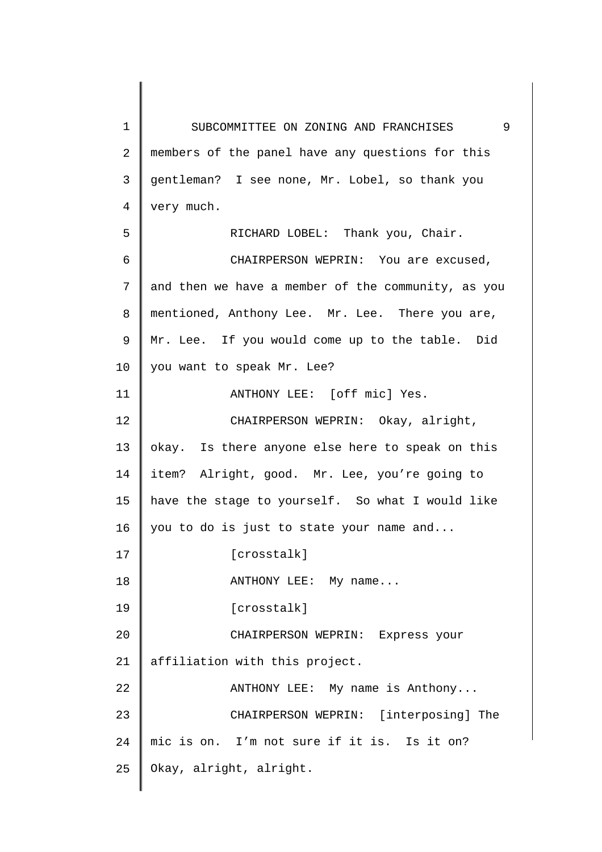1 2 3 4 5 6 7 8 9 10 11 12 13 14 15 16 17 18 19 20 21 22 23 24 25 SUBCOMMITTEE ON ZONING AND FRANCHISES 9 members of the panel have any questions for this gentleman? I see none, Mr. Lobel, so thank you very much. RICHARD LOBEL: Thank you, Chair. CHAIRPERSON WEPRIN: You are excused, and then we have a member of the community, as you mentioned, Anthony Lee. Mr. Lee. There you are, Mr. Lee. If you would come up to the table. Did you want to speak Mr. Lee? ANTHONY LEE: [off mic] Yes. CHAIRPERSON WEPRIN: Okay, alright, okay. Is there anyone else here to speak on this item? Alright, good. Mr. Lee, you're going to have the stage to yourself. So what I would like you to do is just to state your name and... [crosstalk] ANTHONY LEE: My name... [crosstalk] CHAIRPERSON WEPRIN: Express your affiliation with this project. ANTHONY LEE: My name is Anthony... CHAIRPERSON WEPRIN: [interposing] The mic is on. I'm not sure if it is. Is it on? Okay, alright, alright.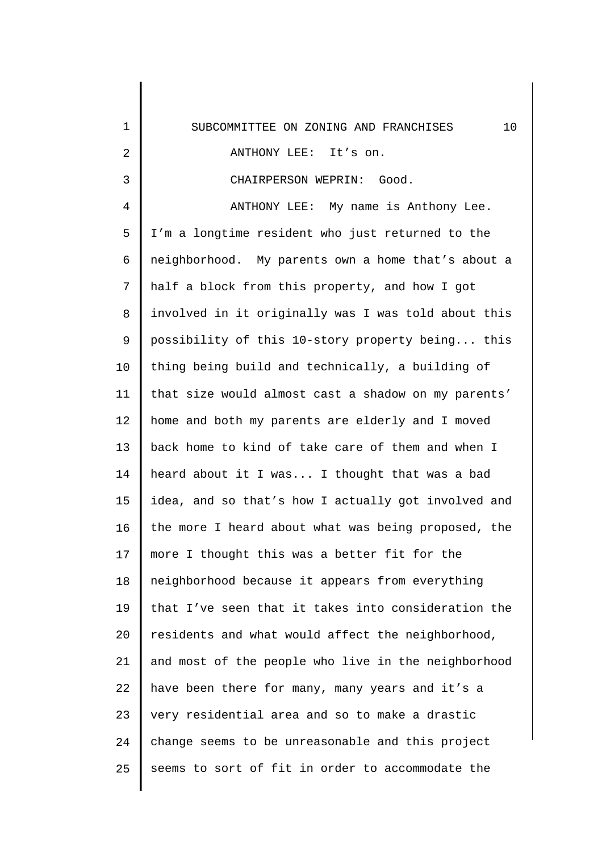| SUBCOMMITTEE ON ZONING AND FRANCHISES |  |  |  |  |  |  |
|---------------------------------------|--|--|--|--|--|--|
|---------------------------------------|--|--|--|--|--|--|

ANTHONY LEE: It's on.

1

2

3

CHAIRPERSON WEPRIN: Good.

4 5 6 7 8 9 10 11 12 13 14 15 16 17 18 19 20 21 22 23 24 25 ANTHONY LEE: My name is Anthony Lee. I'm a longtime resident who just returned to the neighborhood. My parents own a home that's about a half a block from this property, and how I got involved in it originally was I was told about this possibility of this 10-story property being... this thing being build and technically, a building of that size would almost cast a shadow on my parents' home and both my parents are elderly and I moved back home to kind of take care of them and when I heard about it I was... I thought that was a bad idea, and so that's how I actually got involved and the more I heard about what was being proposed, the more I thought this was a better fit for the neighborhood because it appears from everything that I've seen that it takes into consideration the residents and what would affect the neighborhood, and most of the people who live in the neighborhood have been there for many, many years and it's a very residential area and so to make a drastic change seems to be unreasonable and this project seems to sort of fit in order to accommodate the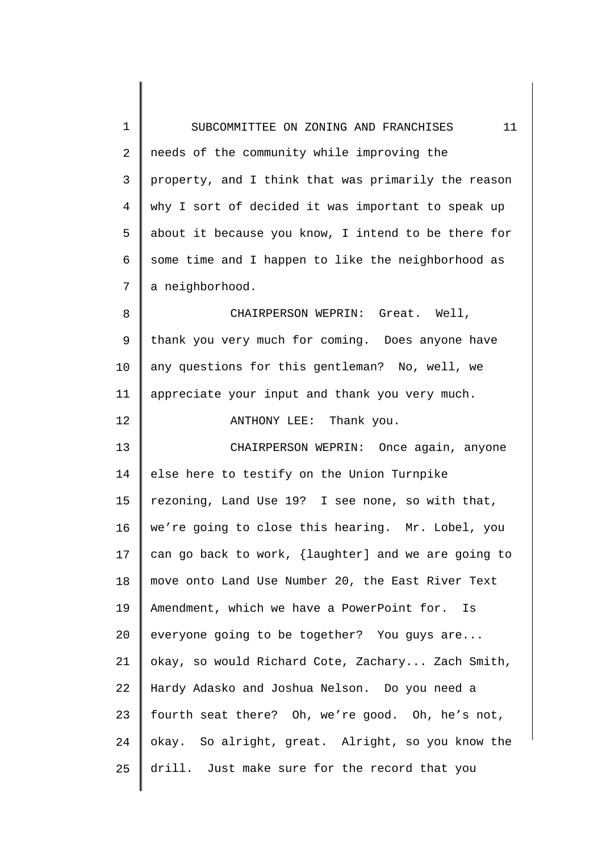| 1  | 11<br>SUBCOMMITTEE ON ZONING AND FRANCHISES         |
|----|-----------------------------------------------------|
| 2  | needs of the community while improving the          |
| 3  | property, and I think that was primarily the reason |
| 4  | why I sort of decided it was important to speak up  |
| 5  | about it because you know, I intend to be there for |
| 6  | some time and I happen to like the neighborhood as  |
| 7  | a neighborhood.                                     |
| 8  | CHAIRPERSON WEPRIN: Great. Well,                    |
| 9  | thank you very much for coming. Does anyone have    |
| 10 | any questions for this gentleman? No, well, we      |
| 11 | appreciate your input and thank you very much.      |
| 12 | ANTHONY LEE: Thank you.                             |
| 13 | CHAIRPERSON WEPRIN: Once again, anyone              |
| 14 | else here to testify on the Union Turnpike          |
| 15 | rezoning, Land Use 19? I see none, so with that,    |
| 16 | we're going to close this hearing. Mr. Lobel, you   |
| 17 | can go back to work, {laughter] and we are going to |
| 18 | move onto Land Use Number 20, the East River Text   |
| 19 | Amendment, which we have a PowerPoint for. Is       |
| 20 | everyone going to be together? You guys are         |
| 21 | okay, so would Richard Cote, Zachary Zach Smith,    |
| 22 | Hardy Adasko and Joshua Nelson. Do you need a       |
| 23 | fourth seat there? Oh, we're good. Oh, he's not,    |
| 24 | okay. So alright, great. Alright, so you know the   |
| 25 | drill. Just make sure for the record that you       |
|    |                                                     |

 $\begin{array}{c} \hline \end{array}$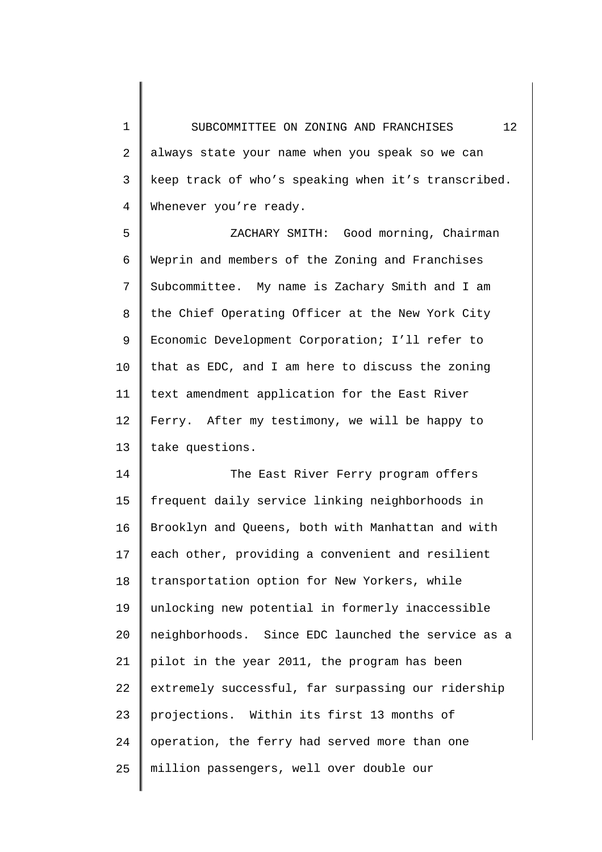1 2 3 4 SUBCOMMITTEE ON ZONING AND FRANCHISES 12 always state your name when you speak so we can keep track of who's speaking when it's transcribed. Whenever you're ready.

5 6 7 8 9 10 11 12 13 ZACHARY SMITH: Good morning, Chairman Weprin and members of the Zoning and Franchises Subcommittee. My name is Zachary Smith and I am the Chief Operating Officer at the New York City Economic Development Corporation; I'll refer to that as EDC, and I am here to discuss the zoning text amendment application for the East River Ferry. After my testimony, we will be happy to take questions.

14 15 16 17 18 19 20 21 22 23 24 25 The East River Ferry program offers frequent daily service linking neighborhoods in Brooklyn and Queens, both with Manhattan and with each other, providing a convenient and resilient transportation option for New Yorkers, while unlocking new potential in formerly inaccessible neighborhoods. Since EDC launched the service as a pilot in the year 2011, the program has been extremely successful, far surpassing our ridership projections. Within its first 13 months of operation, the ferry had served more than one million passengers, well over double our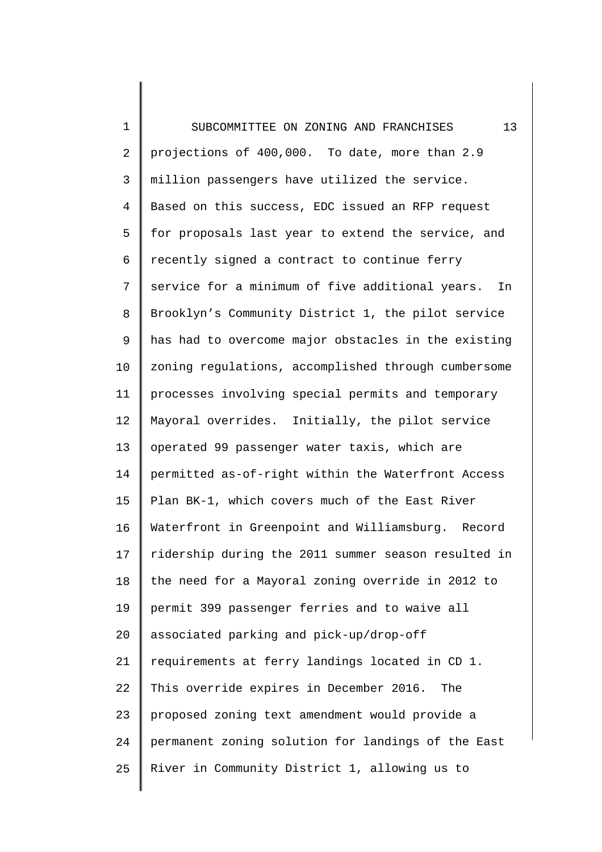1 2 3 4 5 6 7 8 9 10 11 12 13 14 15 16 17 18 19 20 21 22 23 24 25 SUBCOMMITTEE ON ZONING AND FRANCHISES 13 projections of 400,000. To date, more than 2.9 million passengers have utilized the service. Based on this success, EDC issued an RFP request for proposals last year to extend the service, and recently signed a contract to continue ferry service for a minimum of five additional years. In Brooklyn's Community District 1, the pilot service has had to overcome major obstacles in the existing zoning regulations, accomplished through cumbersome processes involving special permits and temporary Mayoral overrides. Initially, the pilot service operated 99 passenger water taxis, which are permitted as-of-right within the Waterfront Access Plan BK-1, which covers much of the East River Waterfront in Greenpoint and Williamsburg. Record ridership during the 2011 summer season resulted in the need for a Mayoral zoning override in 2012 to permit 399 passenger ferries and to waive all associated parking and pick-up/drop-off requirements at ferry landings located in CD 1. This override expires in December 2016. The proposed zoning text amendment would provide a permanent zoning solution for landings of the East River in Community District 1, allowing us to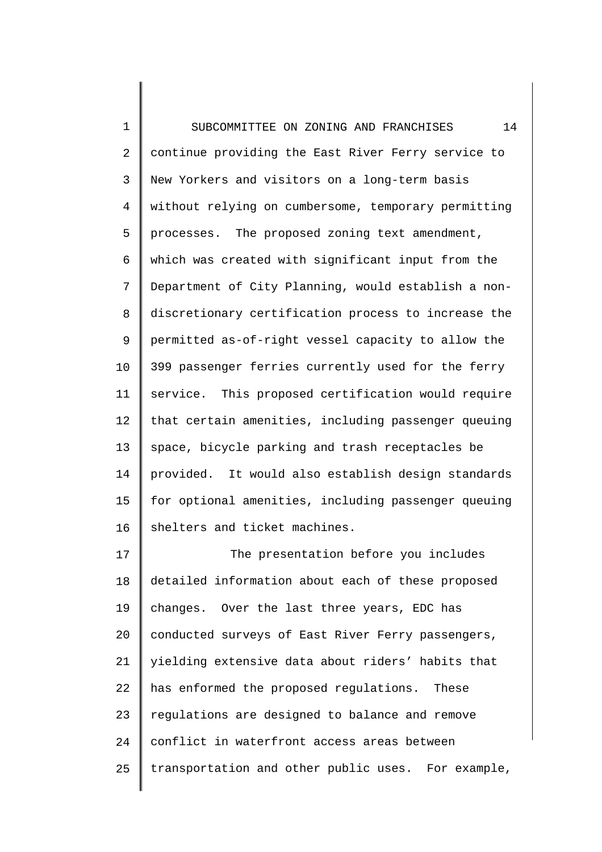1 2 3 4 5 6 7 8 9 10 11 12 13 14 15 16 SUBCOMMITTEE ON ZONING AND FRANCHISES 14 continue providing the East River Ferry service to New Yorkers and visitors on a long-term basis without relying on cumbersome, temporary permitting processes. The proposed zoning text amendment, which was created with significant input from the Department of City Planning, would establish a nondiscretionary certification process to increase the permitted as-of-right vessel capacity to allow the 399 passenger ferries currently used for the ferry service. This proposed certification would require that certain amenities, including passenger queuing space, bicycle parking and trash receptacles be provided. It would also establish design standards for optional amenities, including passenger queuing shelters and ticket machines.

17 18 19 20 21 22 23 24 25 The presentation before you includes detailed information about each of these proposed changes. Over the last three years, EDC has conducted surveys of East River Ferry passengers, yielding extensive data about riders' habits that has enformed the proposed regulations. These regulations are designed to balance and remove conflict in waterfront access areas between transportation and other public uses. For example,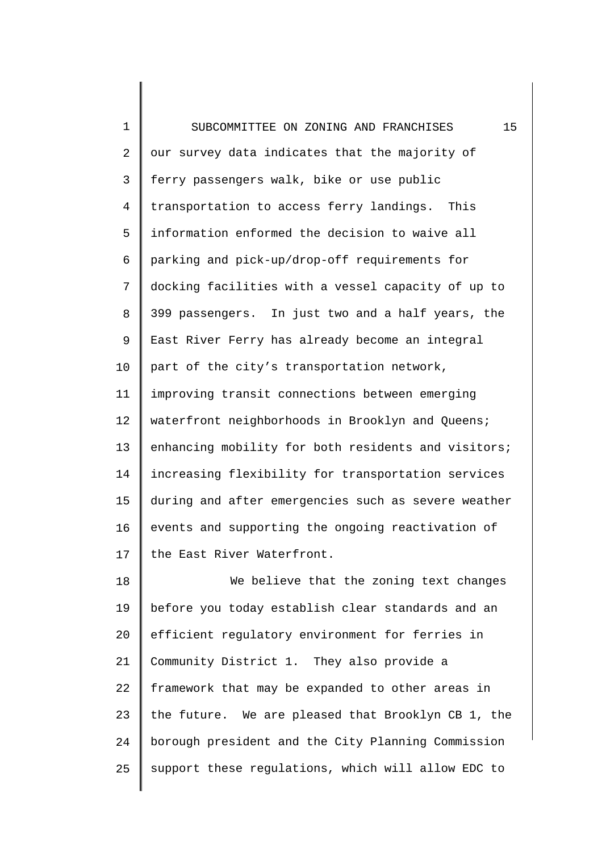1 2 3 4 5 6 7 8 9 10 11 12 13 14 15 16 17 18 SUBCOMMITTEE ON ZONING AND FRANCHISES 15 our survey data indicates that the majority of ferry passengers walk, bike or use public transportation to access ferry landings. This information enformed the decision to waive all parking and pick-up/drop-off requirements for docking facilities with a vessel capacity of up to 399 passengers. In just two and a half years, the East River Ferry has already become an integral part of the city's transportation network, improving transit connections between emerging waterfront neighborhoods in Brooklyn and Queens; enhancing mobility for both residents and visitors; increasing flexibility for transportation services during and after emergencies such as severe weather events and supporting the ongoing reactivation of the East River Waterfront. We believe that the zoning text changes

19 20 21 22 23 24 25 before you today establish clear standards and an efficient regulatory environment for ferries in Community District 1. They also provide a framework that may be expanded to other areas in the future. We are pleased that Brooklyn CB 1, the borough president and the City Planning Commission support these regulations, which will allow EDC to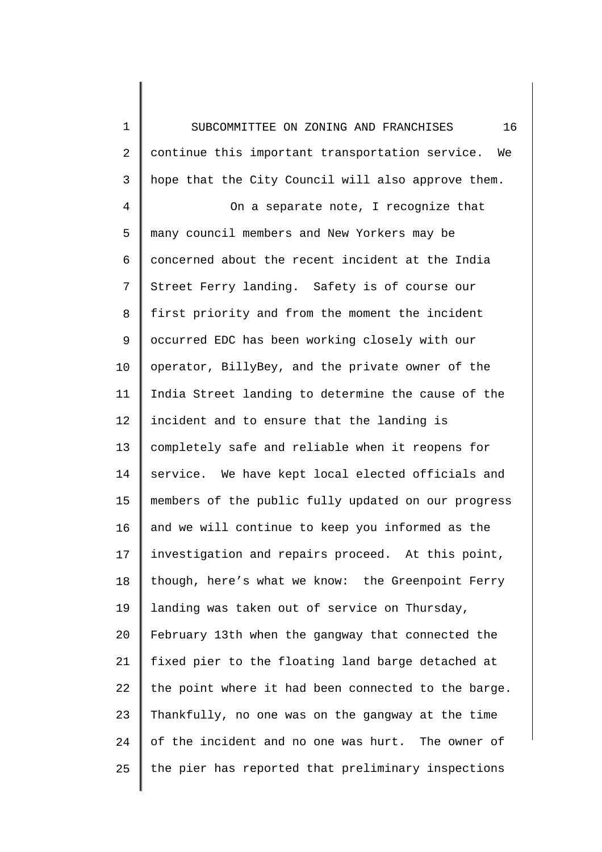1 2 3 4 5 6 7 8 9 10 11 12 13 14 15 16 17 18 19 20 21 22 23 24 25 SUBCOMMITTEE ON ZONING AND FRANCHISES 16 continue this important transportation service. We hope that the City Council will also approve them. On a separate note, I recognize that many council members and New Yorkers may be concerned about the recent incident at the India Street Ferry landing. Safety is of course our first priority and from the moment the incident occurred EDC has been working closely with our operator, BillyBey, and the private owner of the India Street landing to determine the cause of the incident and to ensure that the landing is completely safe and reliable when it reopens for service. We have kept local elected officials and members of the public fully updated on our progress and we will continue to keep you informed as the investigation and repairs proceed. At this point, though, here's what we know: the Greenpoint Ferry landing was taken out of service on Thursday, February 13th when the gangway that connected the fixed pier to the floating land barge detached at the point where it had been connected to the barge. Thankfully, no one was on the gangway at the time of the incident and no one was hurt. The owner of the pier has reported that preliminary inspections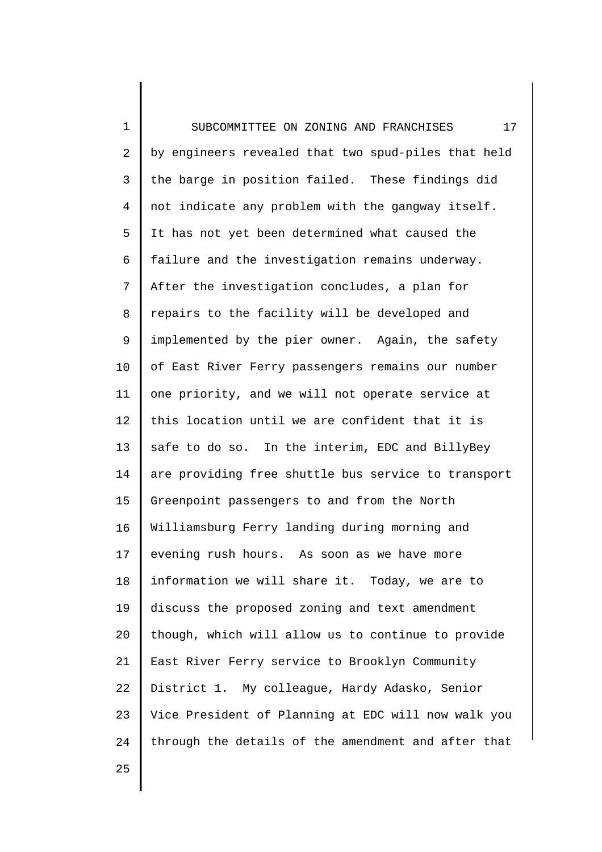1 2 3 4 5 6 7 8 9 10 11 12 13 14 15 16 17 18 19 20 21 22 23 24 SUBCOMMITTEE ON ZONING AND FRANCHISES 17 by engineers revealed that two spud-piles that held the barge in position failed. These findings did not indicate any problem with the gangway itself. It has not yet been determined what caused the failure and the investigation remains underway. After the investigation concludes, a plan for repairs to the facility will be developed and implemented by the pier owner. Again, the safety of East River Ferry passengers remains our number one priority, and we will not operate service at this location until we are confident that it is safe to do so. In the interim, EDC and BillyBey are providing free shuttle bus service to transport Greenpoint passengers to and from the North Williamsburg Ferry landing during morning and evening rush hours. As soon as we have more information we will share it. Today, we are to discuss the proposed zoning and text amendment though, which will allow us to continue to provide East River Ferry service to Brooklyn Community District 1. My colleague, Hardy Adasko, Senior Vice President of Planning at EDC will now walk you through the details of the amendment and after that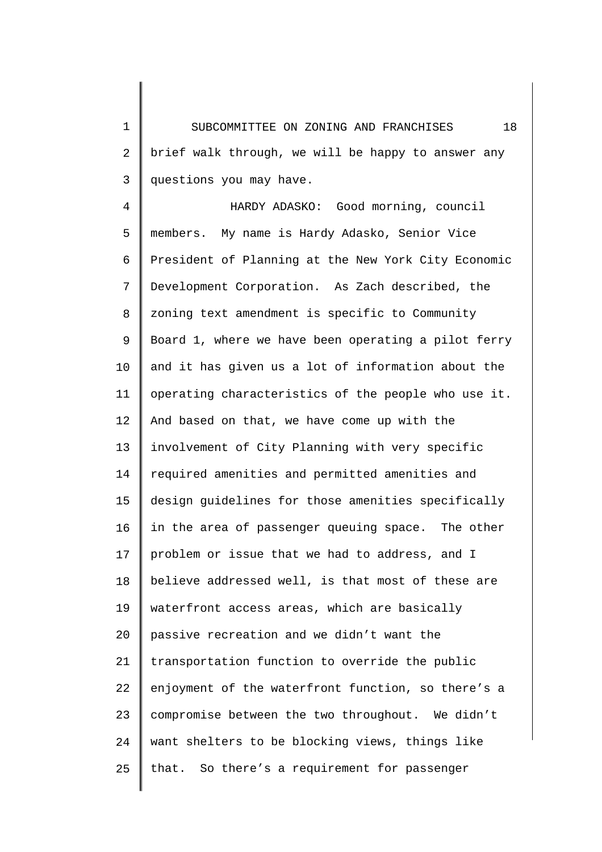1 2 3 SUBCOMMITTEE ON ZONING AND FRANCHISES 18 brief walk through, we will be happy to answer any questions you may have.

4 5 6 7 8 9 10 11 12 13 14 15 16 17 18 19 20 21 22 23 24 25 HARDY ADASKO: Good morning, council members. My name is Hardy Adasko, Senior Vice President of Planning at the New York City Economic Development Corporation. As Zach described, the zoning text amendment is specific to Community Board 1, where we have been operating a pilot ferry and it has given us a lot of information about the operating characteristics of the people who use it. And based on that, we have come up with the involvement of City Planning with very specific required amenities and permitted amenities and design guidelines for those amenities specifically in the area of passenger queuing space. The other problem or issue that we had to address, and I believe addressed well, is that most of these are waterfront access areas, which are basically passive recreation and we didn't want the transportation function to override the public enjoyment of the waterfront function, so there's a compromise between the two throughout. We didn't want shelters to be blocking views, things like that. So there's a requirement for passenger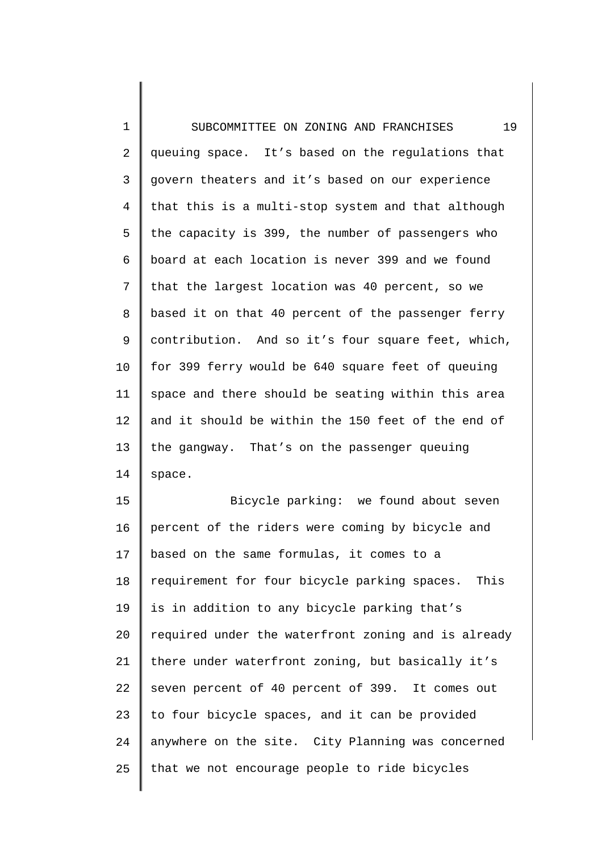1 2 3 4 5 6 7 8 9 10 11 12 13 14 SUBCOMMITTEE ON ZONING AND FRANCHISES 19 queuing space. It's based on the regulations that govern theaters and it's based on our experience that this is a multi-stop system and that although the capacity is 399, the number of passengers who board at each location is never 399 and we found that the largest location was 40 percent, so we based it on that 40 percent of the passenger ferry contribution. And so it's four square feet, which, for 399 ferry would be 640 square feet of queuing space and there should be seating within this area and it should be within the 150 feet of the end of the gangway. That's on the passenger queuing space.

15 16 17 18 19 20 21 22 23 24 25 Bicycle parking: we found about seven percent of the riders were coming by bicycle and based on the same formulas, it comes to a requirement for four bicycle parking spaces. This is in addition to any bicycle parking that's required under the waterfront zoning and is already there under waterfront zoning, but basically it's seven percent of 40 percent of 399. It comes out to four bicycle spaces, and it can be provided anywhere on the site. City Planning was concerned that we not encourage people to ride bicycles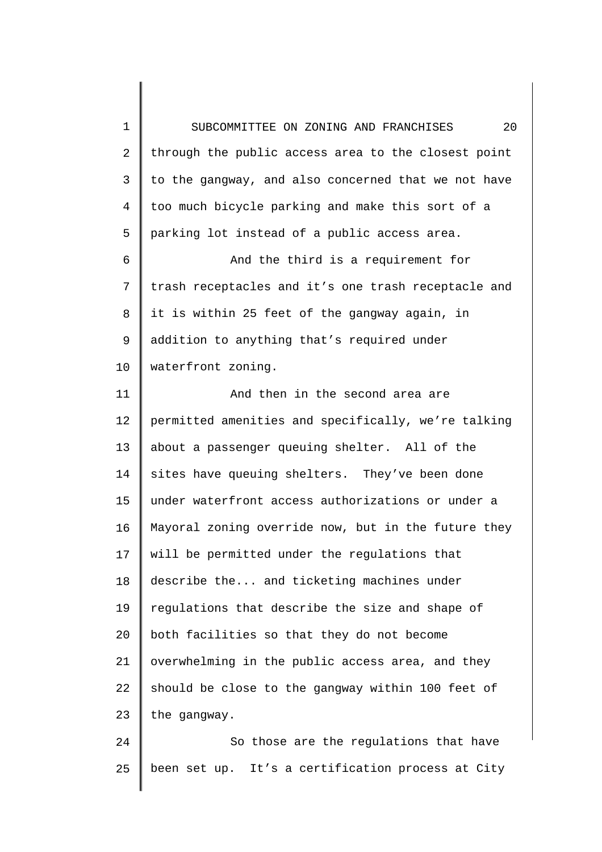1 2 3 4 5 SUBCOMMITTEE ON ZONING AND FRANCHISES 20 through the public access area to the closest point to the gangway, and also concerned that we not have too much bicycle parking and make this sort of a parking lot instead of a public access area.

6 7 8 9 10 And the third is a requirement for trash receptacles and it's one trash receptacle and it is within 25 feet of the gangway again, in addition to anything that's required under waterfront zoning.

11 12 13 14 15 16 17 18 19 20 21 22 23 And then in the second area are permitted amenities and specifically, we're talking about a passenger queuing shelter. All of the sites have queuing shelters. They've been done under waterfront access authorizations or under a Mayoral zoning override now, but in the future they will be permitted under the regulations that describe the... and ticketing machines under regulations that describe the size and shape of both facilities so that they do not become overwhelming in the public access area, and they should be close to the gangway within 100 feet of the gangway.

24 25 So those are the regulations that have been set up. It's a certification process at City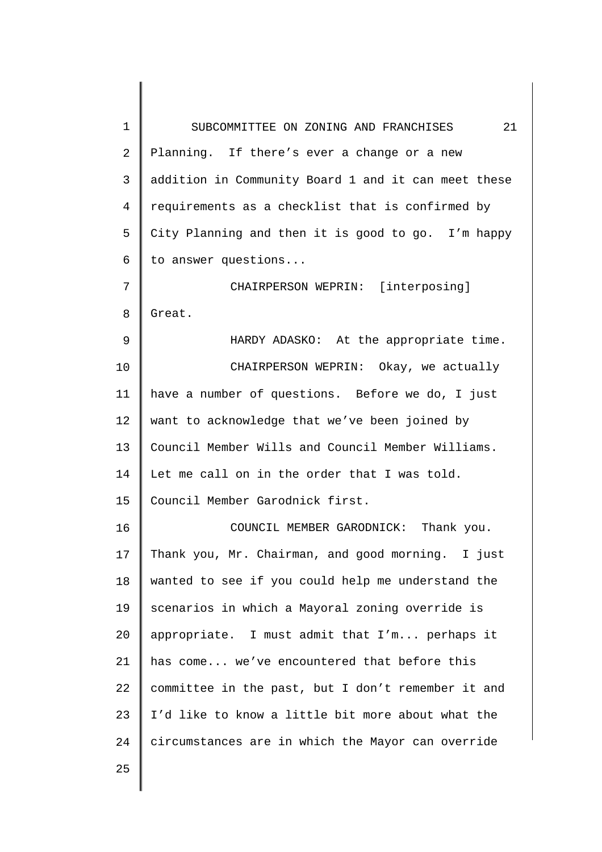1 2 3 4 5 6 7 8 9 10 11 12 13 14 15 16 17 18 19 20 SUBCOMMITTEE ON ZONING AND FRANCHISES 21 Planning. If there's ever a change or a new addition in Community Board 1 and it can meet these requirements as a checklist that is confirmed by City Planning and then it is good to go. I'm happy to answer questions... CHAIRPERSON WEPRIN: [interposing] Great. HARDY ADASKO: At the appropriate time. CHAIRPERSON WEPRIN: Okay, we actually have a number of questions. Before we do, I just want to acknowledge that we've been joined by Council Member Wills and Council Member Williams. Let me call on in the order that I was told. Council Member Garodnick first. COUNCIL MEMBER GARODNICK: Thank you. Thank you, Mr. Chairman, and good morning. I just wanted to see if you could help me understand the scenarios in which a Mayoral zoning override is appropriate. I must admit that I'm... perhaps it

21 22 23 24 has come... we've encountered that before this committee in the past, but I don't remember it and I'd like to know a little bit more about what the circumstances are in which the Mayor can override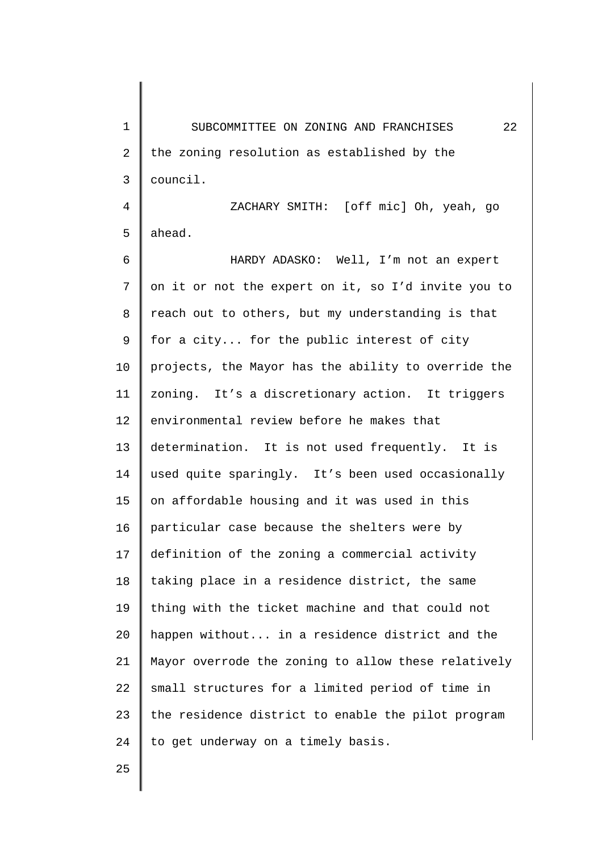1 2 3 SUBCOMMITTEE ON ZONING AND FRANCHISES 22 the zoning resolution as established by the council.

4 5 ZACHARY SMITH: [off mic] Oh, yeah, go ahead.

6 7 8 9 10 11 12 13 14 15 16 17 18 19 20 21 22 23 24 HARDY ADASKO: Well, I'm not an expert on it or not the expert on it, so I'd invite you to reach out to others, but my understanding is that for a city... for the public interest of city projects, the Mayor has the ability to override the zoning. It's a discretionary action. It triggers environmental review before he makes that determination. It is not used frequently. It is used quite sparingly. It's been used occasionally on affordable housing and it was used in this particular case because the shelters were by definition of the zoning a commercial activity taking place in a residence district, the same thing with the ticket machine and that could not happen without... in a residence district and the Mayor overrode the zoning to allow these relatively small structures for a limited period of time in the residence district to enable the pilot program to get underway on a timely basis.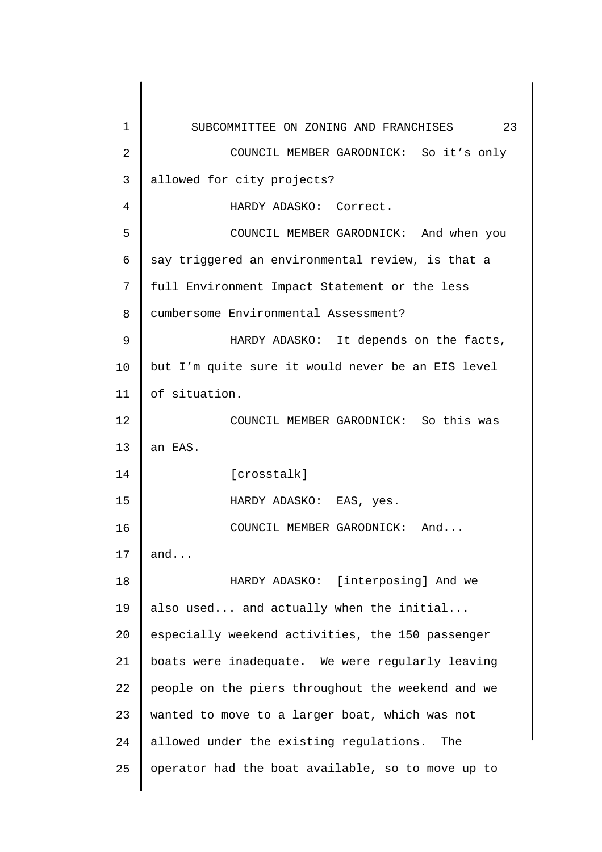| $\mathbf 1$    | 23<br>SUBCOMMITTEE ON ZONING AND FRANCHISES       |
|----------------|---------------------------------------------------|
| $\overline{2}$ | COUNCIL MEMBER GARODNICK: So it's only            |
| $\mathsf{3}$   | allowed for city projects?                        |
| 4              | HARDY ADASKO: Correct.                            |
| 5              | COUNCIL MEMBER GARODNICK: And when you            |
| 6              | say triggered an environmental review, is that a  |
| 7              | full Environment Impact Statement or the less     |
| 8              | cumbersome Environmental Assessment?              |
| 9              | HARDY ADASKO: It depends on the facts,            |
| 10             | but I'm quite sure it would never be an EIS level |
| 11             | of situation.                                     |
| 12             | COUNCIL MEMBER GARODNICK: So this was             |
| 13             | an EAS.                                           |
| 14             | [crosstalk]                                       |
| 15             | HARDY ADASKO: EAS, yes.                           |
| 16             | COUNCIL MEMBER GARODNICK:<br>And                  |
| 17             | and                                               |
| 18             | HARDY ADASKO: [interposing] And we                |
| 19             | also used and actually when the initial           |
| 20             | especially weekend activities, the 150 passenger  |
| 21             | boats were inadequate. We were regularly leaving  |
| 22             | people on the piers throughout the weekend and we |
| 23             | wanted to move to a larger boat, which was not    |
| 24             | allowed under the existing regulations.<br>The    |
| 25             | operator had the boat available, so to move up to |
|                |                                                   |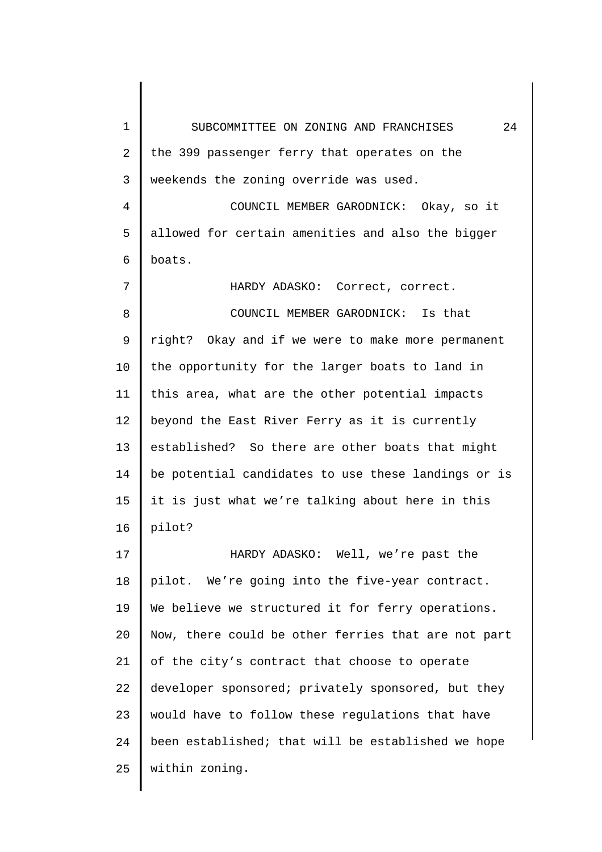1 2 3 4 5 6 7 8 9 10 11 12 13 14 15 16 17 18 19 20 21 22 23 24 25 SUBCOMMITTEE ON ZONING AND FRANCHISES 24 the 399 passenger ferry that operates on the weekends the zoning override was used. COUNCIL MEMBER GARODNICK: Okay, so it allowed for certain amenities and also the bigger boats. HARDY ADASKO: Correct, correct. COUNCIL MEMBER GARODNICK: Is that right? Okay and if we were to make more permanent the opportunity for the larger boats to land in this area, what are the other potential impacts beyond the East River Ferry as it is currently established? So there are other boats that might be potential candidates to use these landings or is it is just what we're talking about here in this pilot? HARDY ADASKO: Well, we're past the pilot. We're going into the five-year contract. We believe we structured it for ferry operations. Now, there could be other ferries that are not part of the city's contract that choose to operate developer sponsored; privately sponsored, but they would have to follow these regulations that have been established; that will be established we hope within zoning.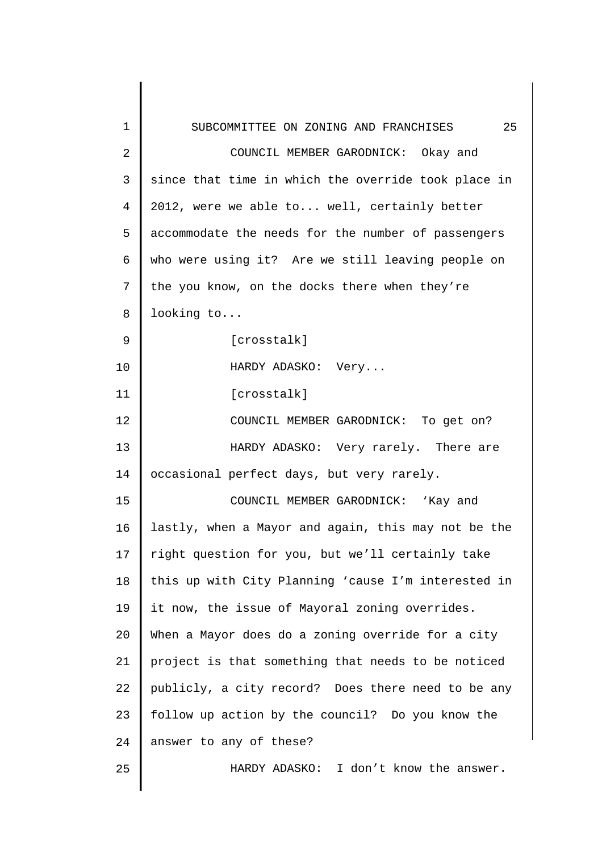| 25<br>SUBCOMMITTEE ON ZONING AND FRANCHISES         |
|-----------------------------------------------------|
| COUNCIL MEMBER GARODNICK: Okay and                  |
| since that time in which the override took place in |
| 2012, were we able to well, certainly better        |
| accommodate the needs for the number of passengers  |
| who were using it? Are we still leaving people on   |
| the you know, on the docks there when they're       |
| looking $to$                                        |
| [crosstalk]                                         |
| HARDY ADASKO: Very                                  |
| [crosstalk]                                         |
| COUNCIL MEMBER GARODNICK: To get on?                |
| HARDY ADASKO: Very rarely. There are                |
| occasional perfect days, but very rarely.           |
| COUNCIL MEMBER GARODNICK: 'Kay and                  |
| lastly, when a Mayor and again, this may not be the |
| right question for you, but we'll certainly take    |
| this up with City Planning 'cause I'm interested in |
| it now, the issue of Mayoral zoning overrides.      |
| When a Mayor does do a zoning override for a city   |
| project is that something that needs to be noticed  |
| publicly, a city record? Does there need to be any  |
| follow up action by the council? Do you know the    |
| answer to any of these?                             |
| HARDY ADASKO: I don't know the answer.              |
|                                                     |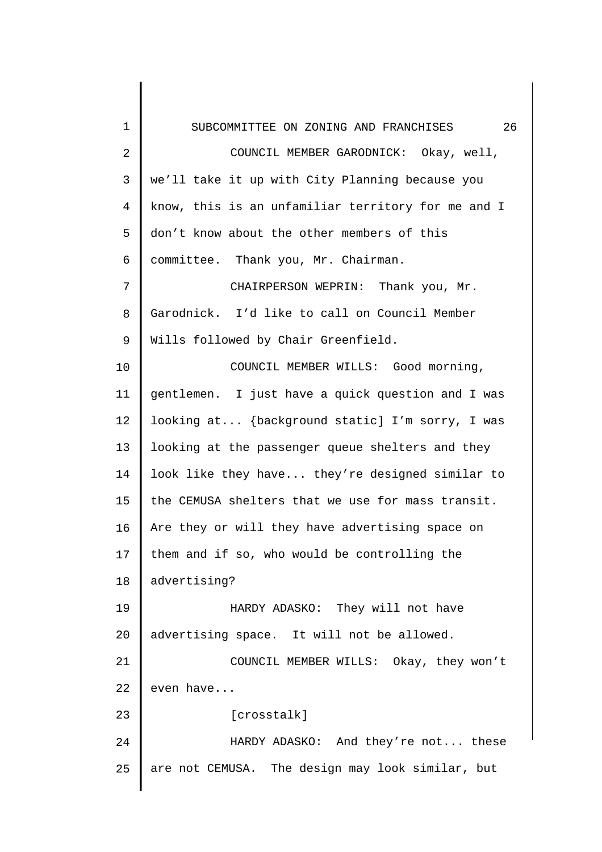| 1              | 26<br>SUBCOMMITTEE ON ZONING AND FRANCHISES        |
|----------------|----------------------------------------------------|
| $\sqrt{2}$     | COUNCIL MEMBER GARODNICK: Okay, well,              |
| $\mathsf{3}$   | we'll take it up with City Planning because you    |
| $\overline{4}$ | know, this is an unfamiliar territory for me and I |
| 5              | don't know about the other members of this         |
| 6              | committee. Thank you, Mr. Chairman.                |
| 7              | CHAIRPERSON WEPRIN: Thank you, Mr.                 |
| 8              | Garodnick. I'd like to call on Council Member      |
| 9              | Wills followed by Chair Greenfield.                |
| 10             | COUNCIL MEMBER WILLS: Good morning,                |
| 11             | gentlemen. I just have a quick question and I was  |
| 12             | looking at {background static] I'm sorry, I was    |
| 13             | looking at the passenger queue shelters and they   |
| 14             | look like they have they're designed similar to    |
| 15             | the CEMUSA shelters that we use for mass transit.  |
| 16             | Are they or will they have advertising space on    |
| 17             | them and if so, who would be controlling the       |
| 18             | advertising?                                       |
| 19             | HARDY ADASKO: They will not have                   |
| 20             | advertising space. It will not be allowed.         |
| 21             | COUNCIL MEMBER WILLS: Okay, they won't             |
| 22             | even have                                          |
| 23             | [crosstalk]                                        |
| 24             | HARDY ADASKO: And they're not these                |
| 25             | are not CEMUSA. The design may look similar, but   |
|                |                                                    |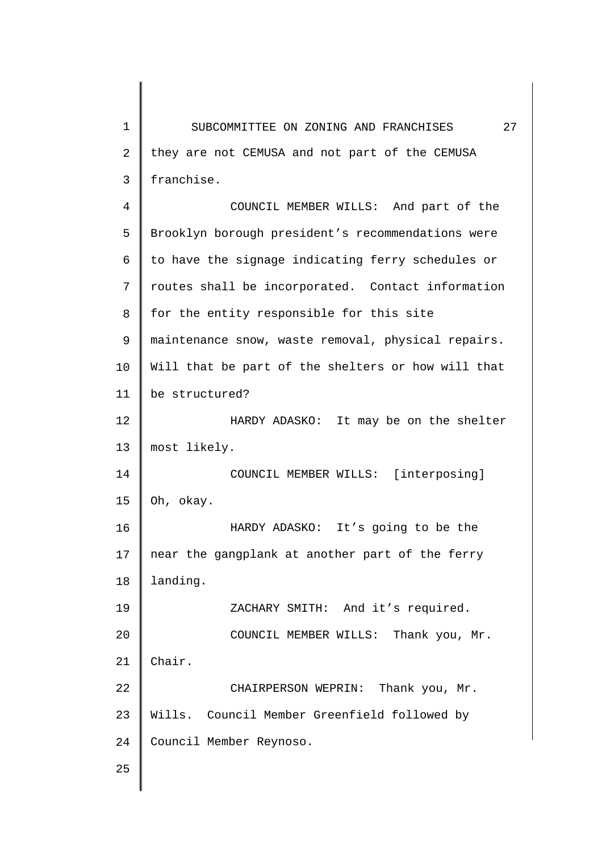1 2 3 4 5 6 7 8 9 10 11 12 13 14 15 16 17 18 19 20 21 22 23 24 25 SUBCOMMITTEE ON ZONING AND FRANCHISES 27 they are not CEMUSA and not part of the CEMUSA franchise. COUNCIL MEMBER WILLS: And part of the Brooklyn borough president's recommendations were to have the signage indicating ferry schedules or routes shall be incorporated. Contact information for the entity responsible for this site maintenance snow, waste removal, physical repairs. Will that be part of the shelters or how will that be structured? HARDY ADASKO: It may be on the shelter most likely. COUNCIL MEMBER WILLS: [interposing] Oh, okay. HARDY ADASKO: It's going to be the near the gangplank at another part of the ferry landing. ZACHARY SMITH: And it's required. COUNCIL MEMBER WILLS: Thank you, Mr. Chair. CHAIRPERSON WEPRIN: Thank you, Mr. Wills. Council Member Greenfield followed by Council Member Reynoso.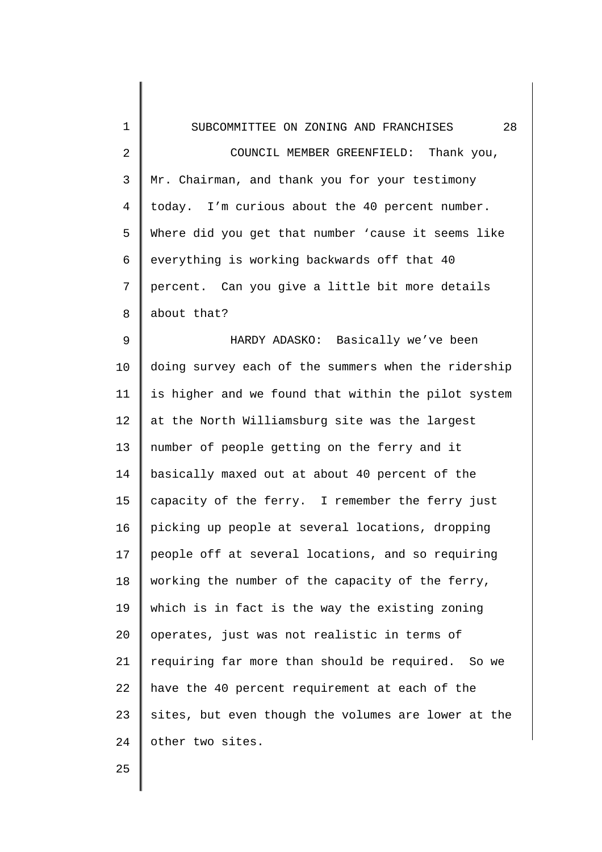## SUBCOMMITTEE ON ZONING AND FRANCHISES 28

2 3 4 5 6 7 8 COUNCIL MEMBER GREENFIELD: Thank you, Mr. Chairman, and thank you for your testimony today. I'm curious about the 40 percent number. Where did you get that number 'cause it seems like everything is working backwards off that 40 percent. Can you give a little bit more details about that?

9 10 11 12 13 14 15 16 17 18 19 20 21 22 23 24 HARDY ADASKO: Basically we've been doing survey each of the summers when the ridership is higher and we found that within the pilot system at the North Williamsburg site was the largest number of people getting on the ferry and it basically maxed out at about 40 percent of the capacity of the ferry. I remember the ferry just picking up people at several locations, dropping people off at several locations, and so requiring working the number of the capacity of the ferry, which is in fact is the way the existing zoning operates, just was not realistic in terms of requiring far more than should be required. So we have the 40 percent requirement at each of the sites, but even though the volumes are lower at the other two sites.

25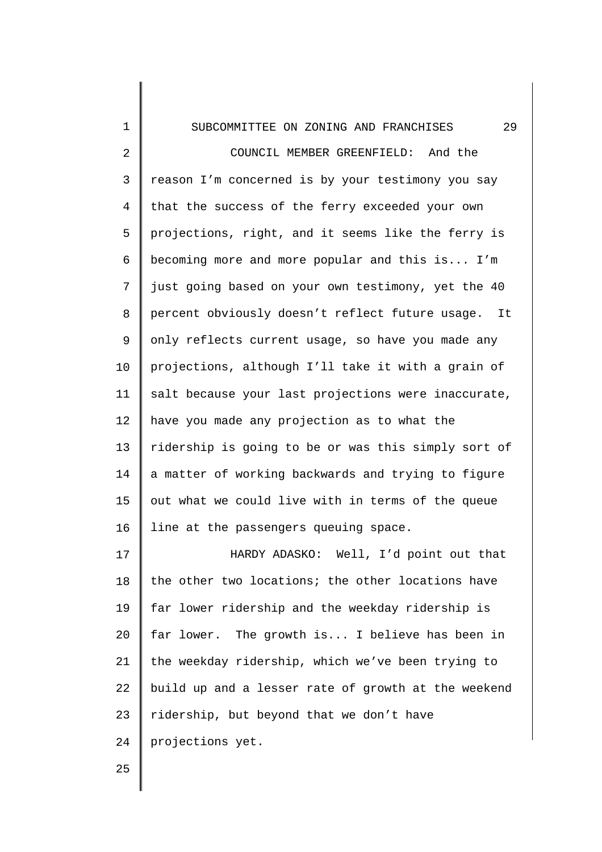## SUBCOMMITTEE ON ZONING AND FRANCHISES 29

2 3 4 5 6 7 8 9 10 11 12 13 14 15 16 COUNCIL MEMBER GREENFIELD: And the reason I'm concerned is by your testimony you say that the success of the ferry exceeded your own projections, right, and it seems like the ferry is becoming more and more popular and this is... I'm just going based on your own testimony, yet the 40 percent obviously doesn't reflect future usage. It only reflects current usage, so have you made any projections, although I'll take it with a grain of salt because your last projections were inaccurate, have you made any projection as to what the ridership is going to be or was this simply sort of a matter of working backwards and trying to figure out what we could live with in terms of the queue line at the passengers queuing space.

17 18 19 20 21 22 23 24 HARDY ADASKO: Well, I'd point out that the other two locations; the other locations have far lower ridership and the weekday ridership is far lower. The growth is... I believe has been in the weekday ridership, which we've been trying to build up and a lesser rate of growth at the weekend ridership, but beyond that we don't have projections yet.

25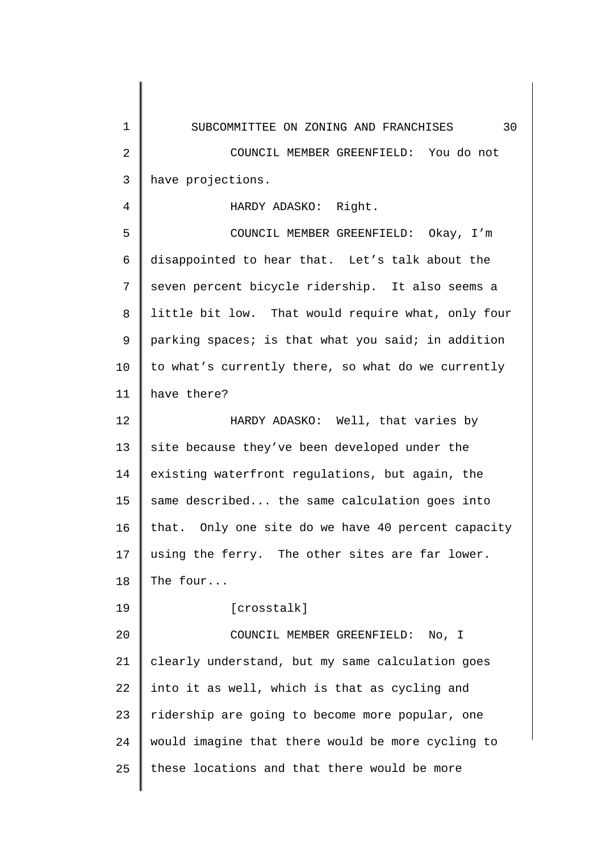1 2 3 4 5 6 7 8 9 10 11 12 13 14 15 16 17 18 19 20 21 22 23 24 25 SUBCOMMITTEE ON ZONING AND FRANCHISES 30 COUNCIL MEMBER GREENFIELD: You do not have projections. HARDY ADASKO: Right. COUNCIL MEMBER GREENFIELD: Okay, I'm disappointed to hear that. Let's talk about the seven percent bicycle ridership. It also seems a little bit low. That would require what, only four parking spaces; is that what you said; in addition to what's currently there, so what do we currently have there? HARDY ADASKO: Well, that varies by site because they've been developed under the existing waterfront regulations, but again, the same described... the same calculation goes into that. Only one site do we have 40 percent capacity using the ferry. The other sites are far lower. The four... [crosstalk] COUNCIL MEMBER GREENFIELD: No, I clearly understand, but my same calculation goes into it as well, which is that as cycling and ridership are going to become more popular, one would imagine that there would be more cycling to these locations and that there would be more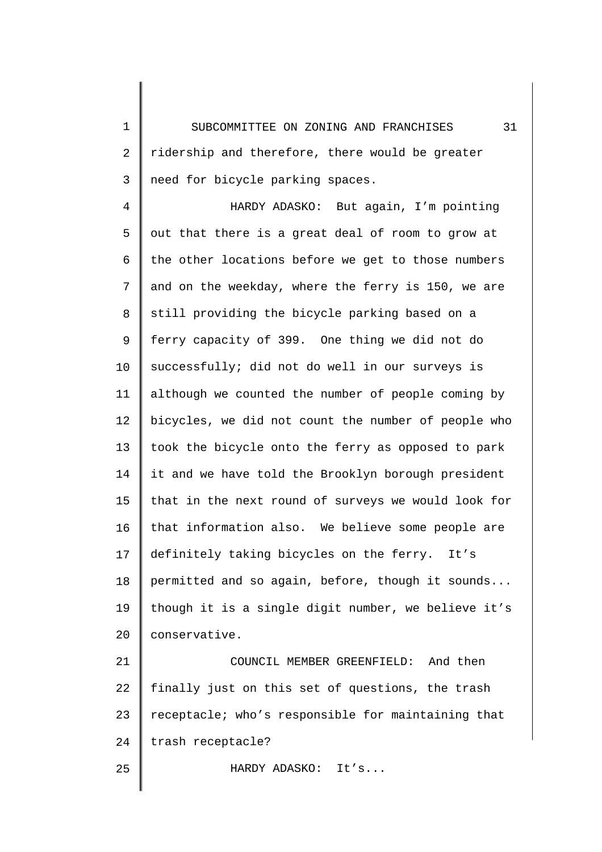1 2 3 SUBCOMMITTEE ON ZONING AND FRANCHISES 31 ridership and therefore, there would be greater need for bicycle parking spaces.

4 5 6 7 8 9 10 11 12 13 14 15 16 17 18 19 20 HARDY ADASKO: But again, I'm pointing out that there is a great deal of room to grow at the other locations before we get to those numbers and on the weekday, where the ferry is 150, we are still providing the bicycle parking based on a ferry capacity of 399. One thing we did not do successfully; did not do well in our surveys is although we counted the number of people coming by bicycles, we did not count the number of people who took the bicycle onto the ferry as opposed to park it and we have told the Brooklyn borough president that in the next round of surveys we would look for that information also. We believe some people are definitely taking bicycles on the ferry. It's permitted and so again, before, though it sounds... though it is a single digit number, we believe it's conservative.

21 22 23 24 COUNCIL MEMBER GREENFIELD: And then finally just on this set of questions, the trash receptacle; who's responsible for maintaining that trash receptacle?

HARDY ADASKO: It's...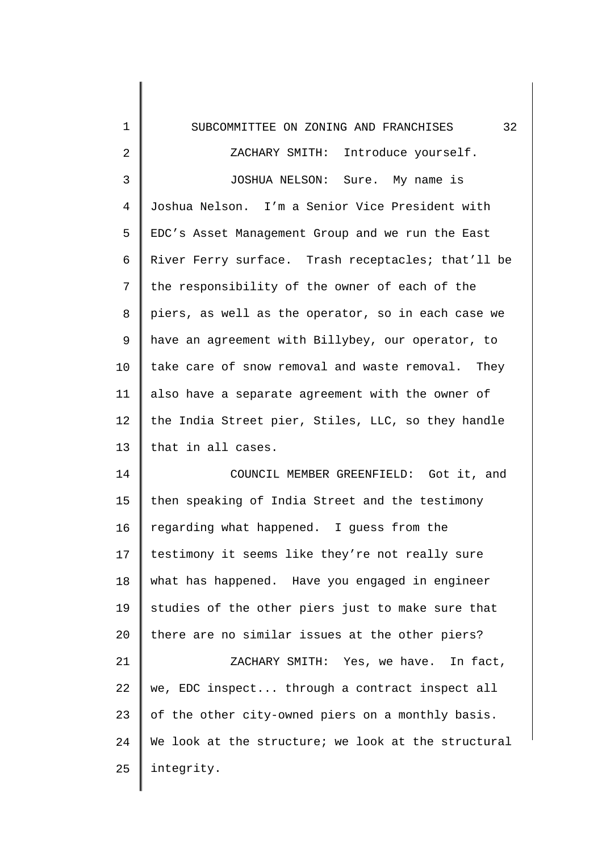| 1              | 32<br>SUBCOMMITTEE ON ZONING AND FRANCHISES         |
|----------------|-----------------------------------------------------|
| $\overline{2}$ | ZACHARY SMITH: Introduce yourself.                  |
| 3              | JOSHUA NELSON: Sure. My name is                     |
| $\overline{4}$ | Joshua Nelson. I'm a Senior Vice President with     |
| 5              | EDC's Asset Management Group and we run the East    |
| 6              | River Ferry surface. Trash receptacles; that'll be  |
| 7              | the responsibility of the owner of each of the      |
| 8              | piers, as well as the operator, so in each case we  |
| 9              | have an agreement with Billybey, our operator, to   |
| 10             | take care of snow removal and waste removal. They   |
| 11             | also have a separate agreement with the owner of    |
| 12             | the India Street pier, Stiles, LLC, so they handle  |
| 13             | that in all cases.                                  |
| 14             | COUNCIL MEMBER GREENFIELD: Got it, and              |
| 15             | then speaking of India Street and the testimony     |
| 16             | regarding what happened. I guess from the           |
| 17             | testimony it seems like they're not really sure     |
| 18             | what has happened. Have you engaged in engineer     |
| 19             | studies of the other piers just to make sure that   |
| 20             | there are no similar issues at the other piers?     |
| 21             | ZACHARY SMITH: Yes, we have. In fact,               |
| 22             | we, EDC inspect through a contract inspect all      |
| 23             | of the other city-owned piers on a monthly basis.   |
| 24             | We look at the structure; we look at the structural |
| 25             | integrity.                                          |
|                |                                                     |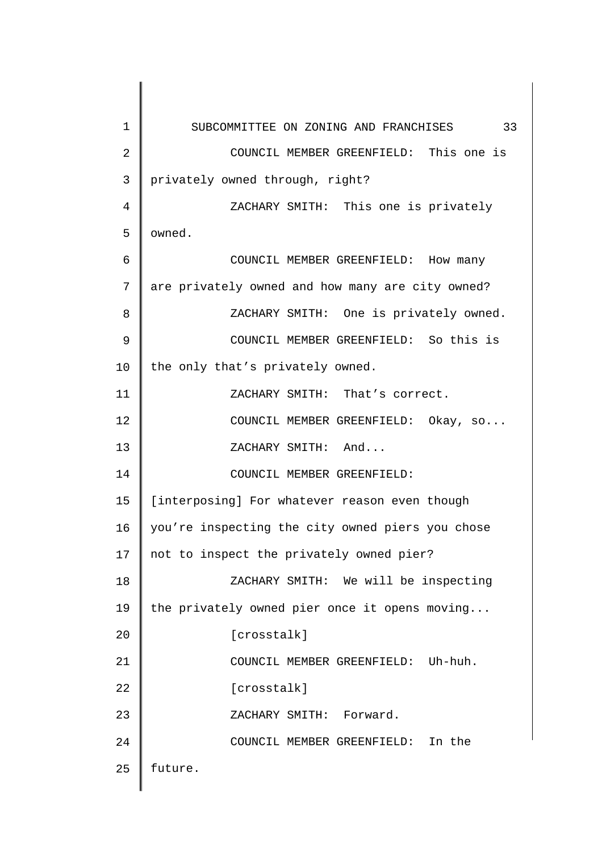| $\mathbf 1$    | 33<br>SUBCOMMITTEE ON ZONING AND FRANCHISES      |
|----------------|--------------------------------------------------|
| $\overline{2}$ | COUNCIL MEMBER GREENFIELD: This one is           |
| 3              | privately owned through, right?                  |
| 4              | ZACHARY SMITH: This one is privately             |
| 5              | owned.                                           |
| 6              | COUNCIL MEMBER GREENFIELD: How many              |
| 7              | are privately owned and how many are city owned? |
| 8              | ZACHARY SMITH: One is privately owned.           |
| 9              | COUNCIL MEMBER GREENFIELD: So this is            |
| 10             | the only that's privately owned.                 |
| 11             | ZACHARY SMITH: That's correct.                   |
| 12             | COUNCIL MEMBER GREENFIELD: Okay, so              |
| 13             | ZACHARY SMITH: And                               |
| 14             | COUNCIL MEMBER GREENFIELD:                       |
| 15             | [interposing] For whatever reason even though    |
| 16             | you're inspecting the city owned piers you chose |
| 17             | not to inspect the privately owned pier?         |
| 18             | ZACHARY SMITH: We will be inspecting             |
| 19             | the privately owned pier once it opens moving    |
| 20             | [crosstalk]                                      |
| 21             | COUNCIL MEMBER GREENFIELD: Uh-huh.               |
| 22             | [crosstalk]                                      |
| 23             | ZACHARY SMITH: Forward.                          |
| 24             | COUNCIL MEMBER GREENFIELD: In the                |
| 25             | future.                                          |
|                |                                                  |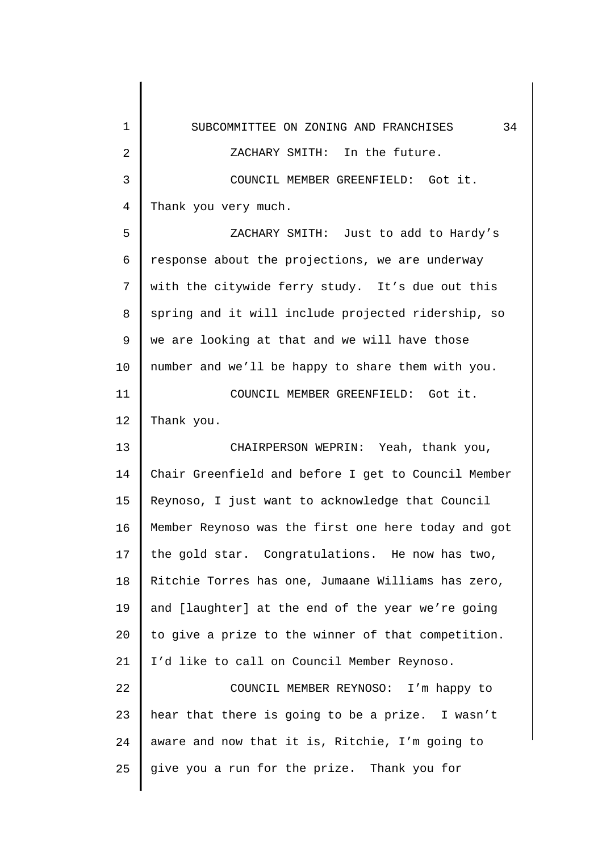1 2 3 4 5 6 7 8 9 10 11 12 13 14 15 16 17 18 19 20 21 22 23 24 25 SUBCOMMITTEE ON ZONING AND FRANCHISES 34 ZACHARY SMITH: In the future. COUNCIL MEMBER GREENFIELD: Got it. Thank you very much. ZACHARY SMITH: Just to add to Hardy's response about the projections, we are underway with the citywide ferry study. It's due out this spring and it will include projected ridership, so we are looking at that and we will have those number and we'll be happy to share them with you. COUNCIL MEMBER GREENFIELD: Got it. Thank you. CHAIRPERSON WEPRIN: Yeah, thank you, Chair Greenfield and before I get to Council Member Reynoso, I just want to acknowledge that Council Member Reynoso was the first one here today and got the gold star. Congratulations. He now has two, Ritchie Torres has one, Jumaane Williams has zero, and [laughter] at the end of the year we're going to give a prize to the winner of that competition. I'd like to call on Council Member Reynoso. COUNCIL MEMBER REYNOSO: I'm happy to hear that there is going to be a prize. I wasn't aware and now that it is, Ritchie, I'm going to give you a run for the prize. Thank you for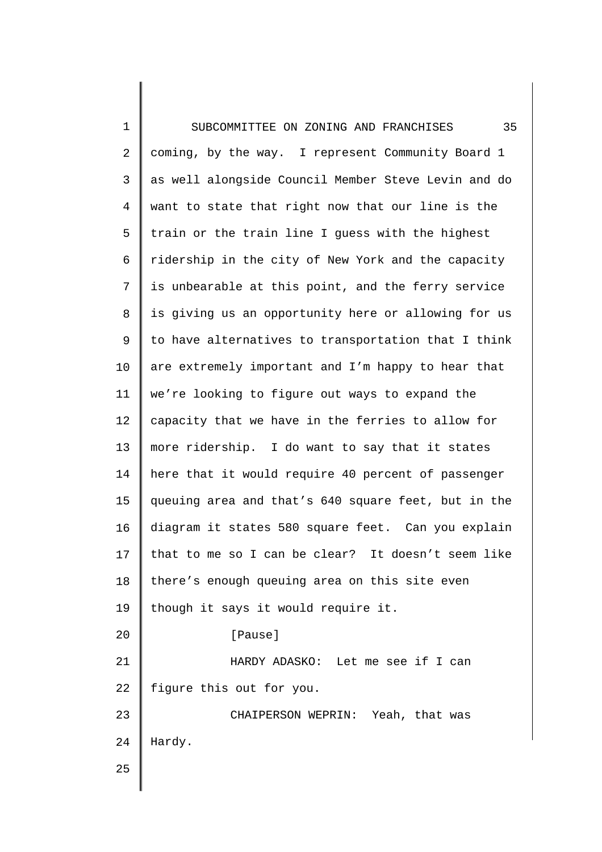| $\mathbf{1}$ | 35<br>SUBCOMMITTEE ON ZONING AND FRANCHISES         |
|--------------|-----------------------------------------------------|
| 2            | coming, by the way. I represent Community Board 1   |
| 3            | as well alongside Council Member Steve Levin and do |
| 4            | want to state that right now that our line is the   |
| 5            | train or the train line I guess with the highest    |
| 6            | ridership in the city of New York and the capacity  |
| 7            | is unbearable at this point, and the ferry service  |
| 8            | is giving us an opportunity here or allowing for us |
| $\mathsf 9$  | to have alternatives to transportation that I think |
| 10           | are extremely important and I'm happy to hear that  |
| 11           | we're looking to figure out ways to expand the      |
| 12           | capacity that we have in the ferries to allow for   |
| 13           | more ridership. I do want to say that it states     |
| 14           | here that it would require 40 percent of passenger  |
| 15           | queuing area and that's 640 square feet, but in the |
| 16           | diagram it states 580 square feet. Can you explain  |
| 17           | that to me so I can be clear? It doesn't seem like  |
| 18           | there's enough queuing area on this site even       |
| 19           | though it says it would require it.                 |
| 20           | [Pause]                                             |
| 21           | HARDY ADASKO: Let me see if I can                   |
| 22           | figure this out for you.                            |
| 23           | CHAIPERSON WEPRIN: Yeah, that was                   |
| 24           | Hardy.                                              |
| 25           |                                                     |
|              |                                                     |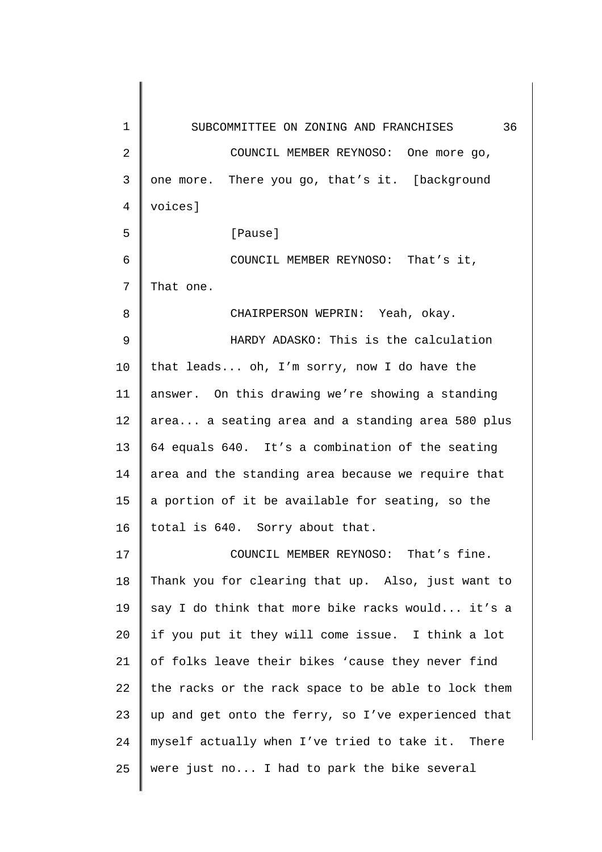1 2 3 4 5 6 7 8 9 10 11 12 13 14 15 16 17 18 19 20 21 22 23 24 25 SUBCOMMITTEE ON ZONING AND FRANCHISES 36 COUNCIL MEMBER REYNOSO: One more go, one more. There you go, that's it. [background voices] [Pause] COUNCIL MEMBER REYNOSO: That's it, That one. CHAIRPERSON WEPRIN: Yeah, okay. HARDY ADASKO: This is the calculation that leads... oh, I'm sorry, now I do have the answer. On this drawing we're showing a standing area... a seating area and a standing area 580 plus 64 equals 640. It's a combination of the seating area and the standing area because we require that a portion of it be available for seating, so the total is 640. Sorry about that. COUNCIL MEMBER REYNOSO: That's fine. Thank you for clearing that up. Also, just want to say I do think that more bike racks would... it's a if you put it they will come issue. I think a lot of folks leave their bikes 'cause they never find the racks or the rack space to be able to lock them up and get onto the ferry, so I've experienced that myself actually when I've tried to take it. There were just no... I had to park the bike several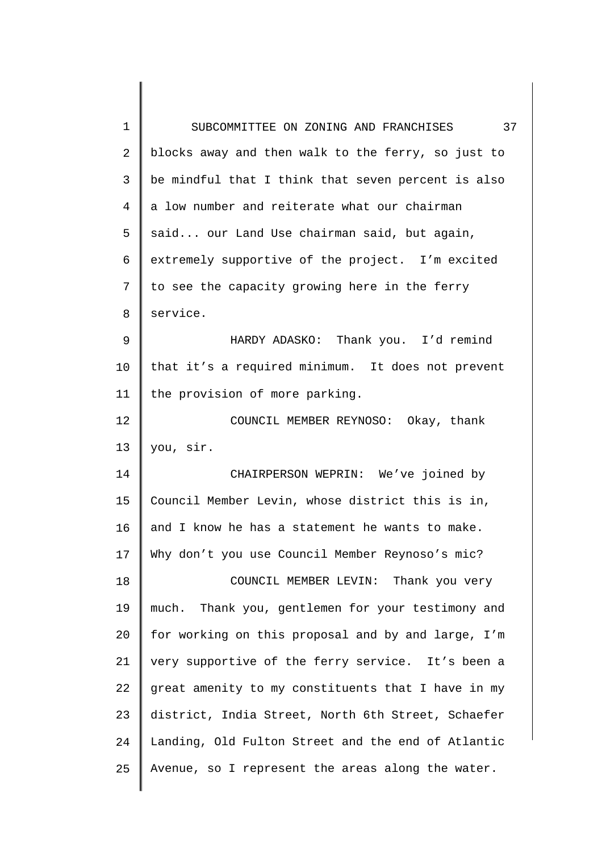| 1              | 37<br>SUBCOMMITTEE ON ZONING AND FRANCHISES          |
|----------------|------------------------------------------------------|
| $\overline{2}$ | blocks away and then walk to the ferry, so just to   |
| 3              | be mindful that I think that seven percent is also   |
| 4              | a low number and reiterate what our chairman         |
| 5              | said our Land Use chairman said, but again,          |
| 6              | extremely supportive of the project. I'm excited     |
| 7              | to see the capacity growing here in the ferry        |
| 8              | service.                                             |
| 9              | HARDY ADASKO: Thank you. I'd remind                  |
| 10             | that it's a required minimum. It does not prevent    |
| 11             | the provision of more parking.                       |
| 12             | COUNCIL MEMBER REYNOSO: Okay, thank                  |
| 13             | you, sir.                                            |
| 14             | CHAIRPERSON WEPRIN: We've joined by                  |
| 15             | Council Member Levin, whose district this is in,     |
| 16             | and I know he has a statement he wants to make.      |
| 17             | Why don't you use Council Member Reynoso's mic?      |
| 18             | COUNCIL MEMBER LEVIN: Thank you very                 |
| 19             | Thank you, gentlemen for your testimony and<br>much. |
| 20             | for working on this proposal and by and large, I'm   |
| 21             | very supportive of the ferry service. It's been a    |
| 22             | great amenity to my constituents that I have in my   |
| 23             | district, India Street, North 6th Street, Schaefer   |
| 24             | Landing, Old Fulton Street and the end of Atlantic   |
| 25             | Avenue, so I represent the areas along the water.    |
|                |                                                      |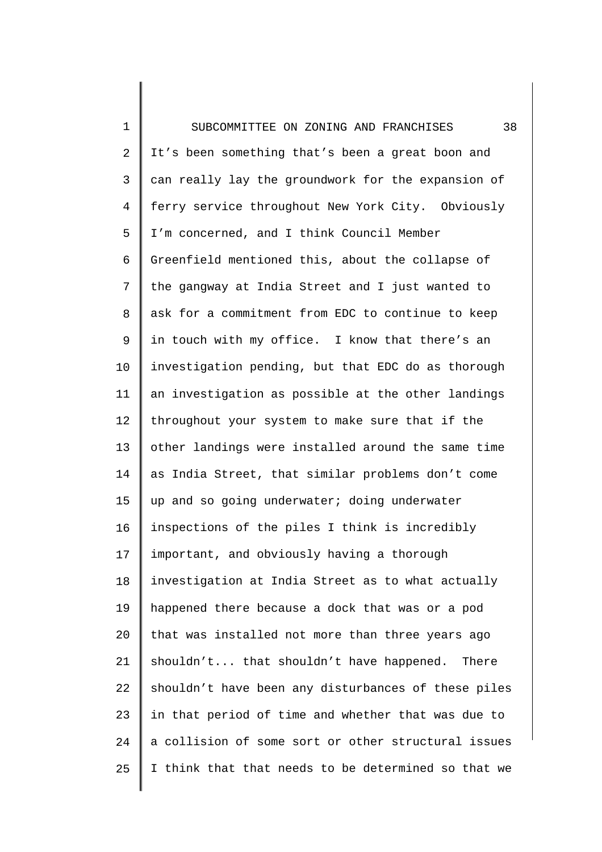1 2 3 4 5 6 7 8 9 10 11 12 13 14 15 16 17 18 19 20 21 22 23 24 25 SUBCOMMITTEE ON ZONING AND FRANCHISES 38 It's been something that's been a great boon and can really lay the groundwork for the expansion of ferry service throughout New York City. Obviously I'm concerned, and I think Council Member Greenfield mentioned this, about the collapse of the gangway at India Street and I just wanted to ask for a commitment from EDC to continue to keep in touch with my office. I know that there's an investigation pending, but that EDC do as thorough an investigation as possible at the other landings throughout your system to make sure that if the other landings were installed around the same time as India Street, that similar problems don't come up and so going underwater; doing underwater inspections of the piles I think is incredibly important, and obviously having a thorough investigation at India Street as to what actually happened there because a dock that was or a pod that was installed not more than three years ago shouldn't... that shouldn't have happened. There shouldn't have been any disturbances of these piles in that period of time and whether that was due to a collision of some sort or other structural issues I think that that needs to be determined so that we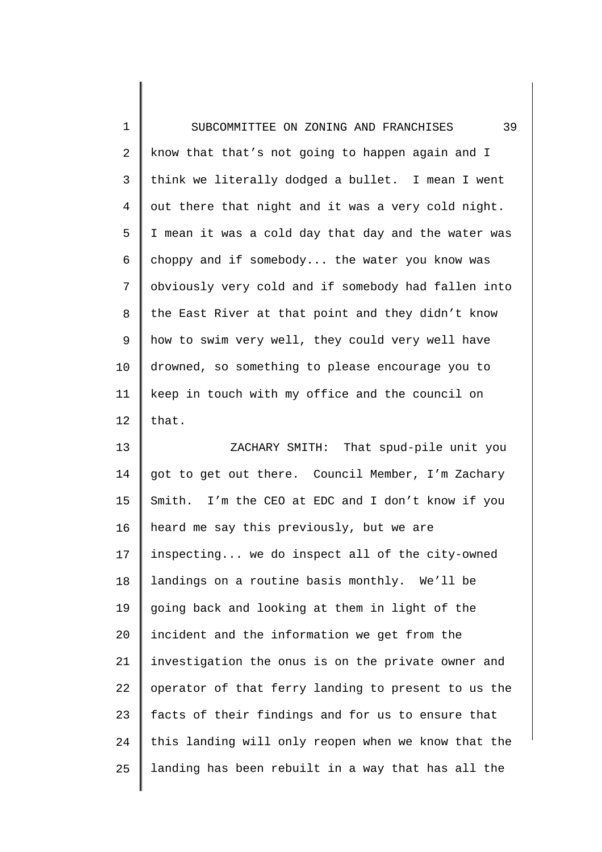1 2 3 4 5 6 7 8 9 10 11 12 SUBCOMMITTEE ON ZONING AND FRANCHISES 39 know that that's not going to happen again and I think we literally dodged a bullet. I mean I went out there that night and it was a very cold night. I mean it was a cold day that day and the water was choppy and if somebody... the water you know was obviously very cold and if somebody had fallen into the East River at that point and they didn't know how to swim very well, they could very well have drowned, so something to please encourage you to keep in touch with my office and the council on that.

13 14 15 16 17 18 19 20 21 22 23 24 25 ZACHARY SMITH: That spud-pile unit you got to get out there. Council Member, I'm Zachary Smith. I'm the CEO at EDC and I don't know if you heard me say this previously, but we are inspecting... we do inspect all of the city-owned landings on a routine basis monthly. We'll be going back and looking at them in light of the incident and the information we get from the investigation the onus is on the private owner and operator of that ferry landing to present to us the facts of their findings and for us to ensure that this landing will only reopen when we know that the landing has been rebuilt in a way that has all the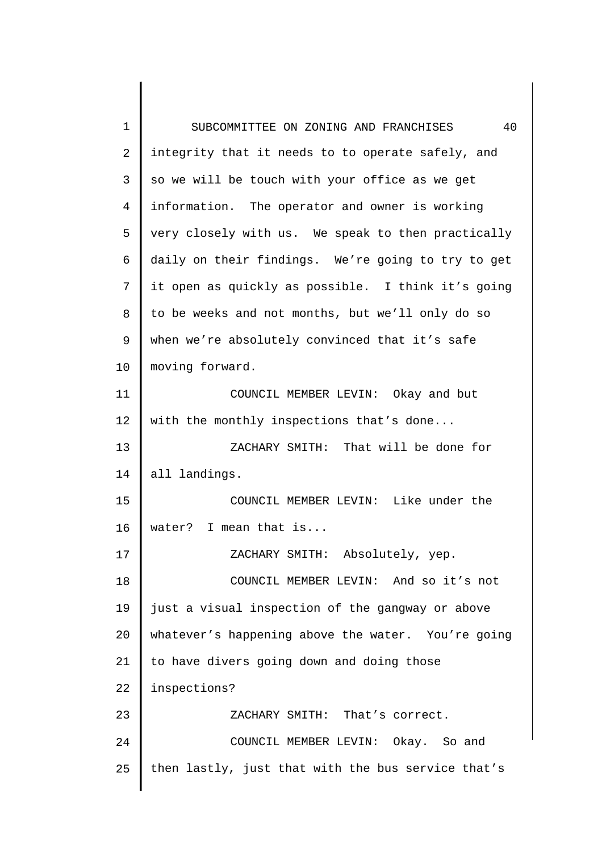1 2 3 4 5 6 7 8 9 10 11 12 13 14 15 16 17 18 19 20 21 22 23 24 25 SUBCOMMITTEE ON ZONING AND FRANCHISES 40 integrity that it needs to to operate safely, and so we will be touch with your office as we get information. The operator and owner is working very closely with us. We speak to then practically daily on their findings. We're going to try to get it open as quickly as possible. I think it's going to be weeks and not months, but we'll only do so when we're absolutely convinced that it's safe moving forward. COUNCIL MEMBER LEVIN: Okay and but with the monthly inspections that's done... ZACHARY SMITH: That will be done for all landings. COUNCIL MEMBER LEVIN: Like under the water? I mean that is... ZACHARY SMITH: Absolutely, yep. COUNCIL MEMBER LEVIN: And so it's not just a visual inspection of the gangway or above whatever's happening above the water. You're going to have divers going down and doing those inspections? ZACHARY SMITH: That's correct. COUNCIL MEMBER LEVIN: Okay. So and then lastly, just that with the bus service that's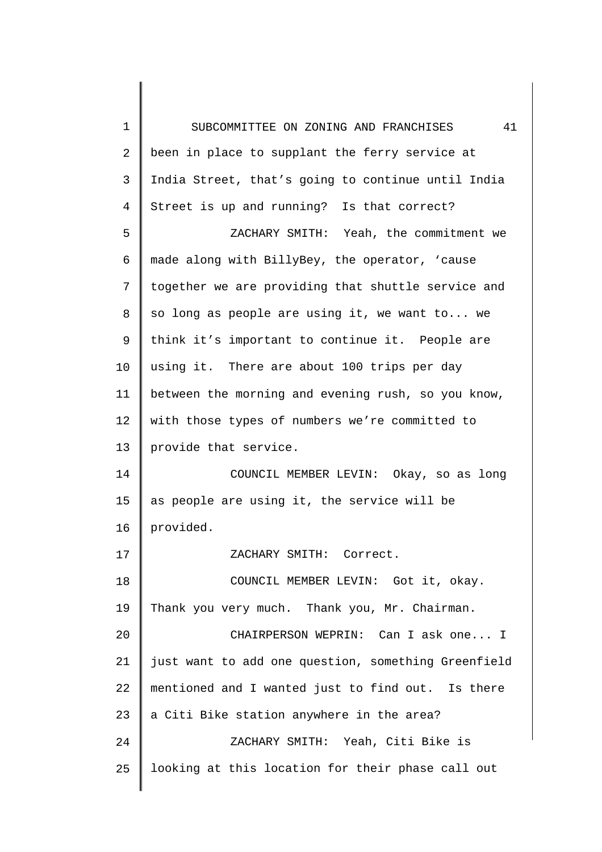1 2 3 4 5 6 7 8 9 10 11 12 13 14 15 16 17 18 19 20 21 22 23 24 25 SUBCOMMITTEE ON ZONING AND FRANCHISES 41 been in place to supplant the ferry service at India Street, that's going to continue until India Street is up and running? Is that correct? ZACHARY SMITH: Yeah, the commitment we made along with BillyBey, the operator, 'cause together we are providing that shuttle service and so long as people are using it, we want to... we think it's important to continue it. People are using it. There are about 100 trips per day between the morning and evening rush, so you know, with those types of numbers we're committed to provide that service. COUNCIL MEMBER LEVIN: Okay, so as long as people are using it, the service will be provided. ZACHARY SMITH: Correct. COUNCIL MEMBER LEVIN: Got it, okay. Thank you very much. Thank you, Mr. Chairman. CHAIRPERSON WEPRIN: Can I ask one... I just want to add one question, something Greenfield mentioned and I wanted just to find out. Is there a Citi Bike station anywhere in the area? ZACHARY SMITH: Yeah, Citi Bike is looking at this location for their phase call out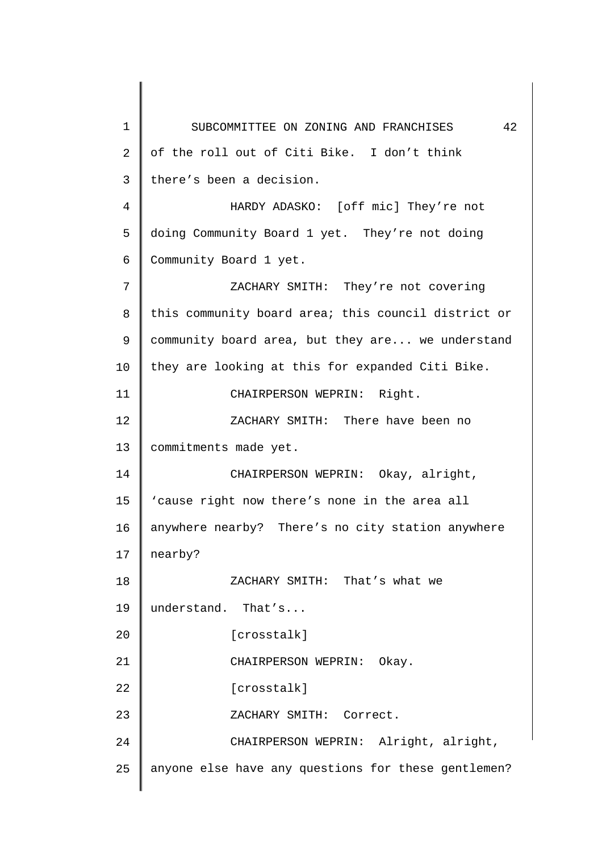1 2 3 4 5 6 7 8 9 10 11 12 13 14 15 16 17 18 19 20 21 22 23 24 25 SUBCOMMITTEE ON ZONING AND FRANCHISES 42 of the roll out of Citi Bike. I don't think there's been a decision. HARDY ADASKO: [off mic] They're not doing Community Board 1 yet. They're not doing Community Board 1 yet. ZACHARY SMITH: They're not covering this community board area; this council district or community board area, but they are... we understand they are looking at this for expanded Citi Bike. CHAIRPERSON WEPRIN: Right. ZACHARY SMITH: There have been no commitments made yet. CHAIRPERSON WEPRIN: Okay, alright, 'cause right now there's none in the area all anywhere nearby? There's no city station anywhere nearby? ZACHARY SMITH: That's what we understand. That's... [crosstalk] CHAIRPERSON WEPRIN: Okay. [crosstalk] ZACHARY SMITH: Correct. CHAIRPERSON WEPRIN: Alright, alright, anyone else have any questions for these gentlemen?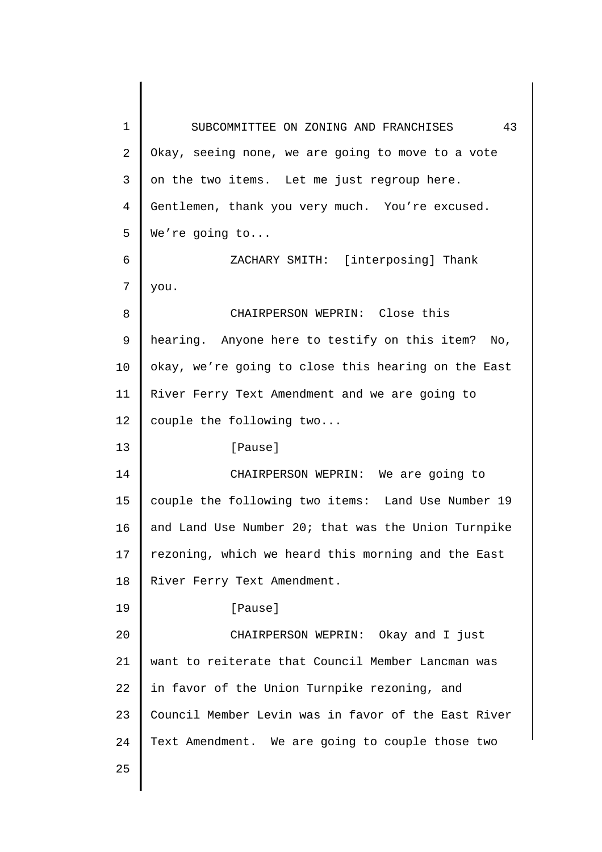1 2 3 4 5 6 7 8 9 10 11 12 13 14 15 16 17 18 19 20 21 22 23 24 25 SUBCOMMITTEE ON ZONING AND FRANCHISES 43 Okay, seeing none, we are going to move to a vote on the two items. Let me just regroup here. Gentlemen, thank you very much. You're excused. We're going to... ZACHARY SMITH: [interposing] Thank you. CHAIRPERSON WEPRIN: Close this hearing. Anyone here to testify on this item? No, okay, we're going to close this hearing on the East River Ferry Text Amendment and we are going to couple the following two... [Pause] CHAIRPERSON WEPRIN: We are going to couple the following two items: Land Use Number 19 and Land Use Number 20; that was the Union Turnpike rezoning, which we heard this morning and the East River Ferry Text Amendment. [Pause] CHAIRPERSON WEPRIN: Okay and I just want to reiterate that Council Member Lancman was in favor of the Union Turnpike rezoning, and Council Member Levin was in favor of the East River Text Amendment. We are going to couple those two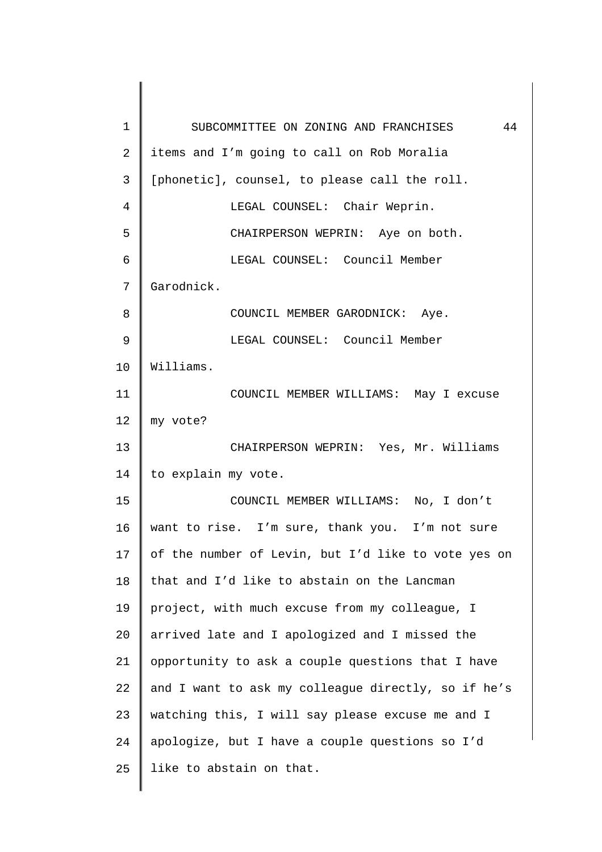| 1              | 44<br>SUBCOMMITTEE ON ZONING AND FRANCHISES         |
|----------------|-----------------------------------------------------|
| 2              | items and I'm going to call on Rob Moralia          |
| 3              | [phonetic], counsel, to please call the roll.       |
| $\overline{4}$ | LEGAL COUNSEL: Chair Weprin.                        |
| 5              | CHAIRPERSON WEPRIN: Aye on both.                    |
| 6              | LEGAL COUNSEL: Council Member                       |
| 7              | Garodnick.                                          |
| 8              | COUNCIL MEMBER GARODNICK: Aye.                      |
| 9              | LEGAL COUNSEL: Council Member                       |
| 10             | Williams.                                           |
| 11             | COUNCIL MEMBER WILLIAMS: May I excuse               |
| 12             | my vote?                                            |
| 13             | CHAIRPERSON WEPRIN: Yes, Mr. Williams               |
| 14             | to explain my vote.                                 |
| 15             | COUNCIL MEMBER WILLIAMS: No, I don't                |
| 16             | want to rise. I'm sure, thank you. I'm not sure     |
| 17             | of the number of Levin, but I'd like to vote yes on |
| 18             | that and I'd like to abstain on the Lancman         |
| 19             | project, with much excuse from my colleague, I      |
| 20             | arrived late and I apologized and I missed the      |
| 21             | opportunity to ask a couple questions that I have   |
| 22             | and I want to ask my colleague directly, so if he's |
| 23             | watching this, I will say please excuse me and I    |
| 24             | apologize, but I have a couple questions so I'd     |
| 25             | like to abstain on that.                            |
|                |                                                     |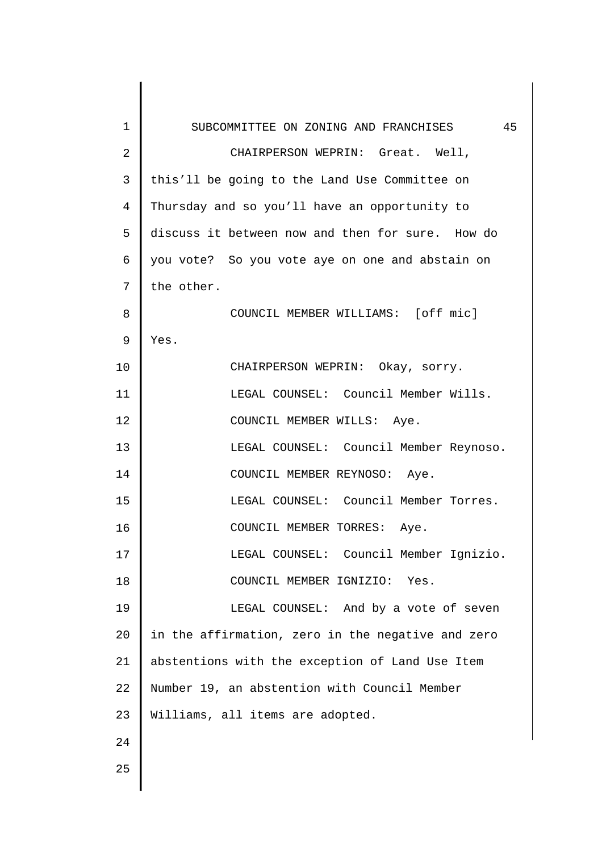| $\mathbf 1$    | 45<br>SUBCOMMITTEE ON ZONING AND FRANCHISES       |
|----------------|---------------------------------------------------|
| $\overline{2}$ | CHAIRPERSON WEPRIN: Great. Well,                  |
| $\mathsf{3}$   | this'll be going to the Land Use Committee on     |
| $\overline{4}$ | Thursday and so you'll have an opportunity to     |
| 5              | discuss it between now and then for sure. How do  |
| 6              | you vote? So you vote aye on one and abstain on   |
| 7              | the other.                                        |
| 8              | COUNCIL MEMBER WILLIAMS: [off mic]                |
| 9              | Yes.                                              |
| 10             | CHAIRPERSON WEPRIN: Okay, sorry.                  |
| 11             | LEGAL COUNSEL: Council Member Wills.              |
| 12             | COUNCIL MEMBER WILLS: Aye.                        |
| 13             | LEGAL COUNSEL: Council Member Reynoso.            |
| 14             | COUNCIL MEMBER REYNOSO: Aye.                      |
| 15             | LEGAL COUNSEL: Council Member Torres.             |
| 16             | COUNCIL MEMBER TORRES:<br>Aye.                    |
| 17             | LEGAL COUNSEL: Council Member Ignizio.            |
| 18             | COUNCIL MEMBER IGNIZIO: Yes.                      |
| 19             | LEGAL COUNSEL: And by a vote of seven             |
| 20             | in the affirmation, zero in the negative and zero |
| 21             | abstentions with the exception of Land Use Item   |
| 22             | Number 19, an abstention with Council Member      |
| 23             | Williams, all items are adopted.                  |
| 24             |                                                   |
| 25             |                                                   |
|                |                                                   |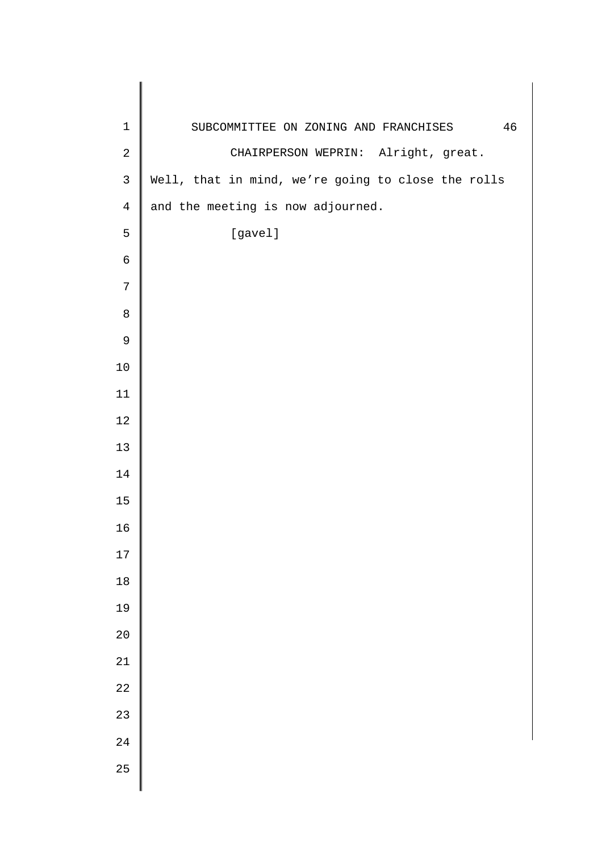| $\mathbf 1$<br>46<br>SUBCOMMITTEE ON ZONING AND FRANCHISES<br>CHAIRPERSON WEPRIN: Alright, great.<br>$\sqrt{2}$<br>$\mathsf{3}$<br>Well, that in mind, we're going to close the rolls<br>and the meeting is now adjourned.<br>$\overline{4}$<br>5<br>[gavel]<br>$\epsilon$<br>$\sqrt{ }$<br>$\,8\,$<br>$\mathsf 9$<br>$10$<br>$11\,$<br>$1\,2$<br>$13$<br>$14\,$<br>15<br>16<br>$17$ |  |
|--------------------------------------------------------------------------------------------------------------------------------------------------------------------------------------------------------------------------------------------------------------------------------------------------------------------------------------------------------------------------------------|--|
|                                                                                                                                                                                                                                                                                                                                                                                      |  |
|                                                                                                                                                                                                                                                                                                                                                                                      |  |
|                                                                                                                                                                                                                                                                                                                                                                                      |  |
|                                                                                                                                                                                                                                                                                                                                                                                      |  |
|                                                                                                                                                                                                                                                                                                                                                                                      |  |
|                                                                                                                                                                                                                                                                                                                                                                                      |  |
|                                                                                                                                                                                                                                                                                                                                                                                      |  |
|                                                                                                                                                                                                                                                                                                                                                                                      |  |
|                                                                                                                                                                                                                                                                                                                                                                                      |  |
|                                                                                                                                                                                                                                                                                                                                                                                      |  |
|                                                                                                                                                                                                                                                                                                                                                                                      |  |
|                                                                                                                                                                                                                                                                                                                                                                                      |  |
|                                                                                                                                                                                                                                                                                                                                                                                      |  |
|                                                                                                                                                                                                                                                                                                                                                                                      |  |
|                                                                                                                                                                                                                                                                                                                                                                                      |  |
|                                                                                                                                                                                                                                                                                                                                                                                      |  |
| $18\,$<br>19                                                                                                                                                                                                                                                                                                                                                                         |  |
|                                                                                                                                                                                                                                                                                                                                                                                      |  |
|                                                                                                                                                                                                                                                                                                                                                                                      |  |
| 20                                                                                                                                                                                                                                                                                                                                                                                   |  |
| 21                                                                                                                                                                                                                                                                                                                                                                                   |  |
| 22                                                                                                                                                                                                                                                                                                                                                                                   |  |
| 23                                                                                                                                                                                                                                                                                                                                                                                   |  |
| 24                                                                                                                                                                                                                                                                                                                                                                                   |  |
| 25                                                                                                                                                                                                                                                                                                                                                                                   |  |